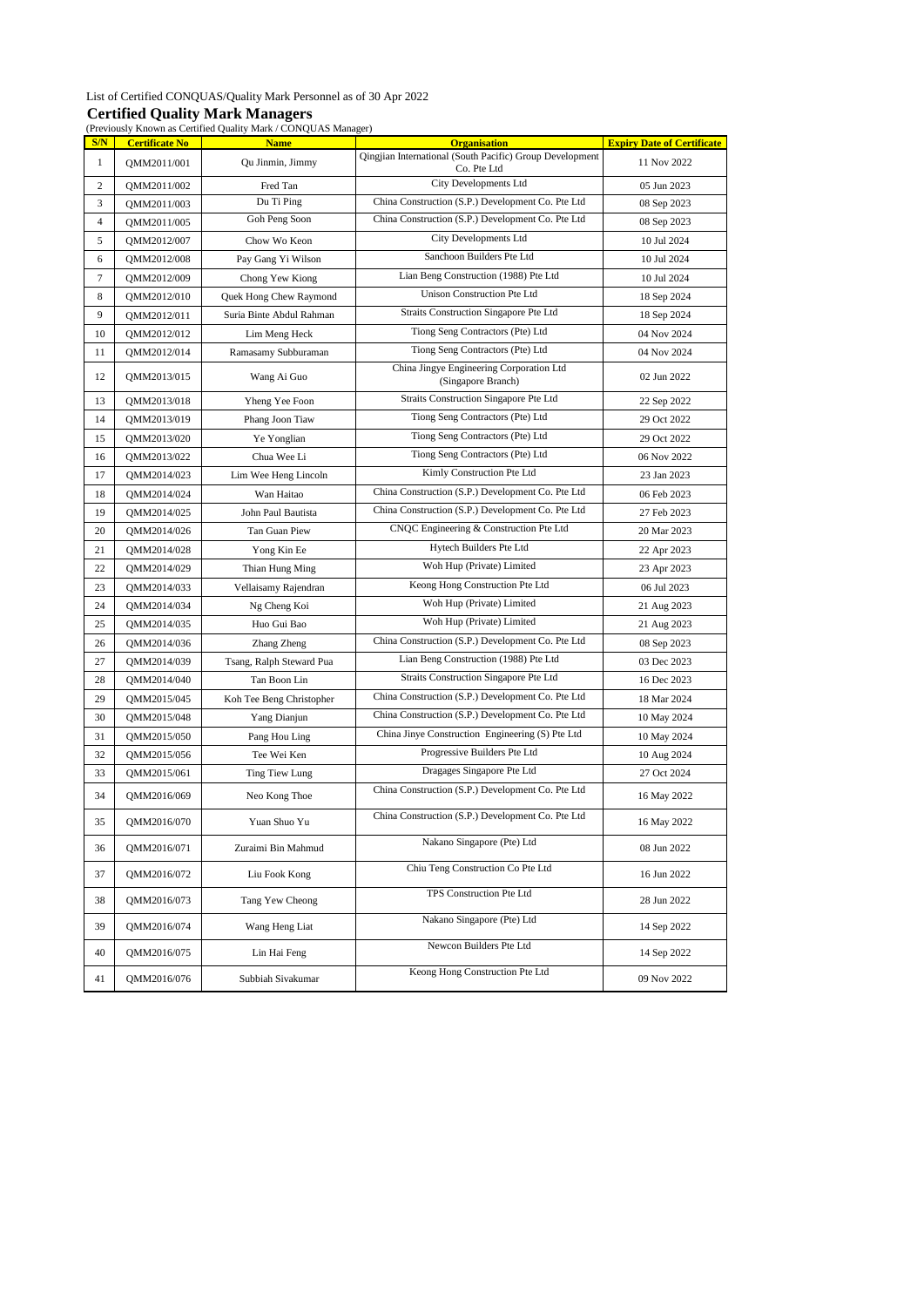#### List of Certified CONQUAS/Quality Mark Personnel as of 30 Apr 2022 **Certified Quality Mark Managers**

|  | (Previously Known as Certified Ouality Mark / CONOUAS Ma |  |
|--|----------------------------------------------------------|--|

|                |                       | (Previously Known as Certified Quality Mark / CONQUAS Manager) |                                                                                 |                                   |
|----------------|-----------------------|----------------------------------------------------------------|---------------------------------------------------------------------------------|-----------------------------------|
| S/N            | <b>Certificate No</b> | <b>Name</b>                                                    | <b>Organisation</b><br>Qingjian International (South Pacific) Group Development | <b>Expiry Date of Certificate</b> |
| $\mathbf{1}$   | QMM2011/001           | Qu Jinmin, Jimmy                                               | Co. Pte Ltd                                                                     | 11 Nov 2022                       |
| $\overline{c}$ | QMM2011/002           | Fred Tan                                                       | City Developments Ltd                                                           | 05 Jun 2023                       |
| 3              | QMM2011/003           | Du Ti Ping                                                     | China Construction (S.P.) Development Co. Pte Ltd                               | 08 Sep 2023                       |
| $\overline{4}$ | QMM2011/005           | Goh Peng Soon                                                  | China Construction (S.P.) Development Co. Pte Ltd                               | 08 Sep 2023                       |
| 5              | QMM2012/007           | Chow Wo Keon                                                   | City Developments Ltd                                                           | 10 Jul 2024                       |
| 6              | QMM2012/008           | Pay Gang Yi Wilson                                             | Sanchoon Builders Pte Ltd                                                       | 10 Jul 2024                       |
| $\tau$         | QMM2012/009           | Chong Yew Kiong                                                | Lian Beng Construction (1988) Pte Ltd                                           | 10 Jul 2024                       |
| 8              | QMM2012/010           | Quek Hong Chew Raymond                                         | <b>Unison Construction Pte Ltd</b>                                              | 18 Sep 2024                       |
| 9              | QMM2012/011           | Suria Binte Abdul Rahman                                       | Straits Construction Singapore Pte Ltd                                          | 18 Sep 2024                       |
| 10             | QMM2012/012           | Lim Meng Heck                                                  | Tiong Seng Contractors (Pte) Ltd                                                | 04 Nov 2024                       |
| 11             | QMM2012/014           | Ramasamy Subburaman                                            | Tiong Seng Contractors (Pte) Ltd                                                | 04 Nov 2024                       |
| 12             | QMM2013/015           | Wang Ai Guo                                                    | China Jingye Engineering Corporation Ltd<br>(Singapore Branch)                  | 02 Jun 2022                       |
| 13             | QMM2013/018           | Yheng Yee Foon                                                 | Straits Construction Singapore Pte Ltd                                          | 22 Sep 2022                       |
| 14             | QMM2013/019           | Phang Joon Tiaw                                                | Tiong Seng Contractors (Pte) Ltd                                                | 29 Oct 2022                       |
| 15             | QMM2013/020           | Ye Yonglian                                                    | Tiong Seng Contractors (Pte) Ltd                                                | 29 Oct 2022                       |
| 16             | QMM2013/022           | Chua Wee Li                                                    | Tiong Seng Contractors (Pte) Ltd                                                | 06 Nov 2022                       |
| 17             | QMM2014/023           | Lim Wee Heng Lincoln                                           | Kimly Construction Pte Ltd                                                      | 23 Jan 2023                       |
| 18             | QMM2014/024           | Wan Haitao                                                     | China Construction (S.P.) Development Co. Pte Ltd                               | 06 Feb 2023                       |
| 19             | QMM2014/025           | John Paul Bautista                                             | China Construction (S.P.) Development Co. Pte Ltd                               | 27 Feb 2023                       |
| 20             | QMM2014/026           | Tan Guan Piew                                                  | CNQC Engineering & Construction Pte Ltd                                         | 20 Mar 2023                       |
| 21             | QMM2014/028           | Yong Kin Ee                                                    | Hytech Builders Pte Ltd                                                         | 22 Apr 2023                       |
| 22             | QMM2014/029           | Thian Hung Ming                                                | Woh Hup (Private) Limited                                                       | 23 Apr 2023                       |
| 23             | QMM2014/033           | Vellaisamy Rajendran                                           | Keong Hong Construction Pte Ltd                                                 | 06 Jul 2023                       |
| 24             | QMM2014/034           | Ng Cheng Koi                                                   | Woh Hup (Private) Limited                                                       | 21 Aug 2023                       |
| 25             | QMM2014/035           | Huo Gui Bao                                                    | Woh Hup (Private) Limited                                                       | 21 Aug 2023                       |
| 26             | QMM2014/036           | Zhang Zheng                                                    | China Construction (S.P.) Development Co. Pte Ltd                               | 08 Sep 2023                       |
| 27             | QMM2014/039           | Tsang, Ralph Steward Pua                                       | Lian Beng Construction (1988) Pte Ltd                                           | 03 Dec 2023                       |
| 28             | QMM2014/040           | Tan Boon Lin                                                   | Straits Construction Singapore Pte Ltd                                          | 16 Dec 2023                       |
| 29             | QMM2015/045           | Koh Tee Beng Christopher                                       | China Construction (S.P.) Development Co. Pte Ltd                               | 18 Mar 2024                       |
| 30             | QMM2015/048           | Yang Dianjun                                                   | China Construction (S.P.) Development Co. Pte Ltd                               | 10 May 2024                       |
| 31             | QMM2015/050           | Pang Hou Ling                                                  | China Jinye Construction Engineering (S) Pte Ltd                                | 10 May 2024                       |
| 32             | QMM2015/056           | Tee Wei Ken                                                    | Progressive Builders Pte Ltd                                                    | 10 Aug 2024                       |
| 33             | QMM2015/061           | Ting Tiew Lung                                                 | Dragages Singapore Pte Ltd                                                      | 27 Oct 2024                       |
| 34             | QMM2016/069           | Neo Kong Thoe                                                  | China Construction (S.P.) Development Co. Pte Ltd                               | 16 May 2022                       |
| 35             | QMM2016/070           | Yuan Shuo Yu                                                   | China Construction (S.P.) Development Co. Pte Ltd                               | 16 May 2022                       |
| 36             | QMM2016/071           | Zuraimi Bin Mahmud                                             | Nakano Singapore (Pte) Ltd                                                      | 08 Jun 2022                       |
| 37             | QMM2016/072           | Liu Fook Kong                                                  | Chiu Teng Construction Co Pte Ltd                                               | 16 Jun 2022                       |
| 38             | QMM2016/073           | Tang Yew Cheong                                                | TPS Construction Pte Ltd<br>Nakano Singapore (Pte) Ltd                          | 28 Jun 2022                       |
| 39             | QMM2016/074           | Wang Heng Liat                                                 | Newcon Builders Pte Ltd                                                         | 14 Sep 2022                       |
| 40             | QMM2016/075           | Lin Hai Feng                                                   | Keong Hong Construction Pte Ltd                                                 | 14 Sep 2022                       |
| 41             | QMM2016/076           | Subbiah Sivakumar                                              |                                                                                 | 09 Nov 2022                       |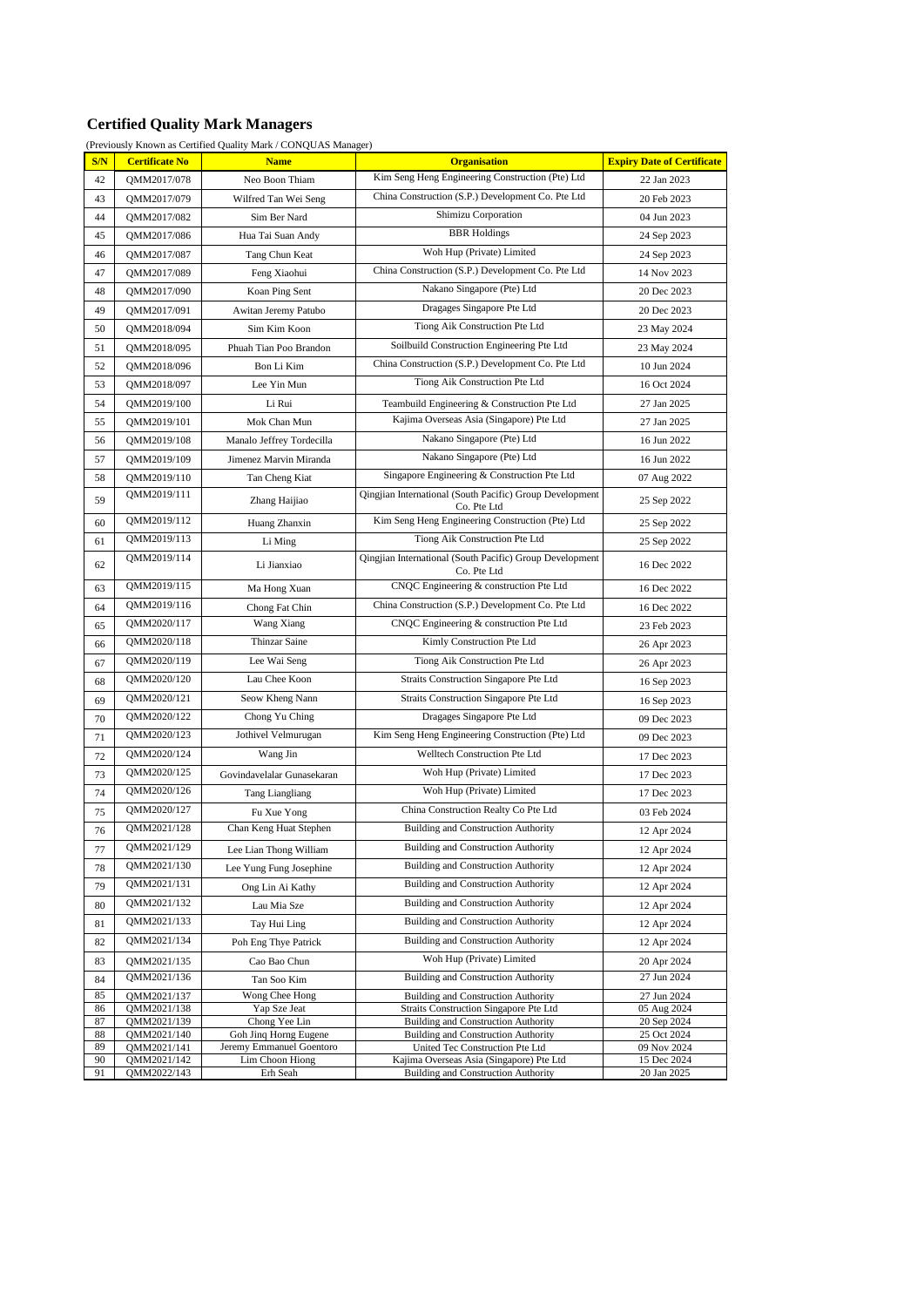## **Certified Quality Mark Managers**

(Previously Known as Certified Quality Mark / CONQUAS Manager)

| S/N      | <b>Certificate No</b>      | <b>Name</b>                                 | <b>Organisation</b>                                                                  | <b>Expiry Date of Certificate</b> |
|----------|----------------------------|---------------------------------------------|--------------------------------------------------------------------------------------|-----------------------------------|
| 42       | QMM2017/078                | Neo Boon Thiam                              | Kim Seng Heng Engineering Construction (Pte) Ltd                                     | 22 Jan 2023                       |
| 43       | QMM2017/079                | Wilfred Tan Wei Seng                        | China Construction (S.P.) Development Co. Pte Ltd                                    | 20 Feb 2023                       |
| 44       | QMM2017/082                | Sim Ber Nard                                | Shimizu Corporation                                                                  | 04 Jun 2023                       |
| 45       | QMM2017/086                | Hua Tai Suan Andy                           | <b>BBR</b> Holdings                                                                  | 24 Sep 2023                       |
| 46       | QMM2017/087                | Tang Chun Keat                              | Woh Hup (Private) Limited                                                            | 24 Sep 2023                       |
| 47       | QMM2017/089                | Feng Xiaohui                                | China Construction (S.P.) Development Co. Pte Ltd                                    | 14 Nov 2023                       |
| 48       | QMM2017/090                | Koan Ping Sent                              | Nakano Singapore (Pte) Ltd                                                           | 20 Dec 2023                       |
| 49       | QMM2017/091                | Awitan Jeremy Patubo                        | Dragages Singapore Pte Ltd                                                           | 20 Dec 2023                       |
| 50       | QMM2018/094                | Sim Kim Koon                                | Tiong Aik Construction Pte Ltd                                                       | 23 May 2024                       |
| 51       | QMM2018/095                | Phuah Tian Poo Brandon                      | Soilbuild Construction Engineering Pte Ltd                                           | 23 May 2024                       |
| 52       | QMM2018/096                | Bon Li Kim                                  | China Construction (S.P.) Development Co. Pte Ltd                                    | 10 Jun 2024                       |
| 53       | QMM2018/097                | Lee Yin Mun                                 | Tiong Aik Construction Pte Ltd                                                       | 16 Oct 2024                       |
| 54       | QMM2019/100                | Li Rui                                      | Teambuild Engineering & Construction Pte Ltd                                         | 27 Jan 2025                       |
| 55       | QMM2019/101                | Mok Chan Mun                                | Kajima Overseas Asia (Singapore) Pte Ltd                                             | 27 Jan 2025                       |
| 56       | QMM2019/108                | Manalo Jeffrey Tordecilla                   | Nakano Singapore (Pte) Ltd                                                           | 16 Jun 2022                       |
| 57       | QMM2019/109                | Jimenez Marvin Miranda                      | Nakano Singapore (Pte) Ltd                                                           | 16 Jun 2022                       |
| 58       | QMM2019/110                | Tan Cheng Kiat                              | Singapore Engineering & Construction Pte Ltd                                         | 07 Aug 2022                       |
| 59       | QMM2019/111                | Zhang Haijiao                               | Qingjian International (South Pacific) Group Development<br>Co. Pte Ltd              | 25 Sep 2022                       |
| 60       | OMM2019/112                | Huang Zhanxin                               | Kim Seng Heng Engineering Construction (Pte) Ltd                                     | 25 Sep 2022                       |
| 61       | QMM2019/113                | Li Ming                                     | Tiong Aik Construction Pte Ltd                                                       | 25 Sep 2022                       |
| 62       | QMM2019/114                | Li Jianxiao                                 | Qingjian International (South Pacific) Group Development<br>Co. Pte Ltd              | 16 Dec 2022                       |
| 63       | QMM2019/115                | Ma Hong Xuan                                | CNQC Engineering & construction Pte Ltd                                              | 16 Dec 2022                       |
| 64       | QMM2019/116                | Chong Fat Chin                              | China Construction (S.P.) Development Co. Pte Ltd                                    | 16 Dec 2022                       |
| 65       | QMM2020/117                | Wang Xiang                                  | CNQC Engineering & construction Pte Ltd                                              | 23 Feb 2023                       |
| 66       | QMM2020/118                | Thinzar Saine                               | Kimly Construction Pte Ltd                                                           | 26 Apr 2023                       |
| 67       | QMM2020/119                | Lee Wai Seng                                | Tiong Aik Construction Pte Ltd                                                       | 26 Apr 2023                       |
| 68       | QMM2020/120                | Lau Chee Koon                               | Straits Construction Singapore Pte Ltd                                               | 16 Sep 2023                       |
| 69       | QMM2020/121                | Seow Kheng Nann                             | Straits Construction Singapore Pte Ltd                                               | 16 Sep 2023                       |
| 70       | QMM2020/122                | Chong Yu Ching                              | Dragages Singapore Pte Ltd                                                           | 09 Dec 2023                       |
| 71       | QMM2020/123                | Jothivel Velmurugan                         | Kim Seng Heng Engineering Construction (Pte) Ltd                                     | 09 Dec 2023                       |
| 72       | QMM2020/124                | Wang Jin                                    | Welltech Construction Pte Ltd                                                        | 17 Dec 2023                       |
| 73       | QMM2020/125                | Govindavelalar Gunasekaran                  | Woh Hup (Private) Limited                                                            | 17 Dec 2023                       |
| 74       | QMM2020/126                | <b>Tang Liangliang</b>                      | Woh Hup (Private) Limited                                                            | 17 Dec 2023                       |
| 75       | QMM2020/127                | Fu Xue Yong                                 | China Construction Realty Co Pte Ltd                                                 | 03 Feb 2024                       |
| 76       | QMM2021/128                | Chan Keng Huat Stephen                      | <b>Building and Construction Authority</b>                                           | 12 Apr 2024                       |
| 77       | QMM2021/129                | Lee Lian Thong William                      | <b>Building and Construction Authority</b>                                           | 12 Apr 2024                       |
| 78       | QMM2021/130                | Lee Yung Fung Josephine                     | <b>Building and Construction Authority</b>                                           | 12 Apr 2024                       |
| 79       | QMM2021/131                | Ong Lin Ai Kathy                            | <b>Building and Construction Authority</b>                                           | 12 Apr 2024                       |
| 80       | QMM2021/132                | Lau Mia Sze                                 | <b>Building and Construction Authority</b>                                           | 12 Apr 2024                       |
| 81       | QMM2021/133                | Tay Hui Ling                                | <b>Building and Construction Authority</b>                                           | 12 Apr 2024                       |
| 82       | QMM2021/134                | Poh Eng Thye Patrick                        | <b>Building and Construction Authority</b>                                           | 12 Apr 2024                       |
| 83       | QMM2021/135                | Cao Bao Chun                                | Woh Hup (Private) Limited                                                            | 20 Apr 2024                       |
| 84       | QMM2021/136                | Tan Soo Kim                                 | <b>Building and Construction Authority</b>                                           | 27 Jun 2024                       |
| 85<br>86 | QMM2021/137<br>QMM2021/138 | Wong Chee Hong<br>Yap Sze Jeat              | <b>Building and Construction Authority</b><br>Straits Construction Singapore Pte Ltd | 27 Jun 2024<br>05 Aug 2024        |
| 87       | QMM2021/139                | Chong Yee Lin                               | <b>Building and Construction Authority</b>                                           | 20 Sep 2024                       |
| 88       | QMM2021/140                | Goh Jing Horng Eugene                       | <b>Building and Construction Authority</b>                                           | 25 Oct 2024                       |
| 89<br>90 | QMM2021/141<br>QMM2021/142 | Jeremy Emmanuel Goentoro<br>Lim Choon Hiong | United Tec Construction Pte Ltd<br>Kajima Overseas Asia (Singapore) Pte Ltd          | 09 Nov 2024<br>15 Dec 2024        |
| 91       | QMM2022/143                | Erh Seah                                    | <b>Building and Construction Authority</b>                                           | 20 Jan 2025                       |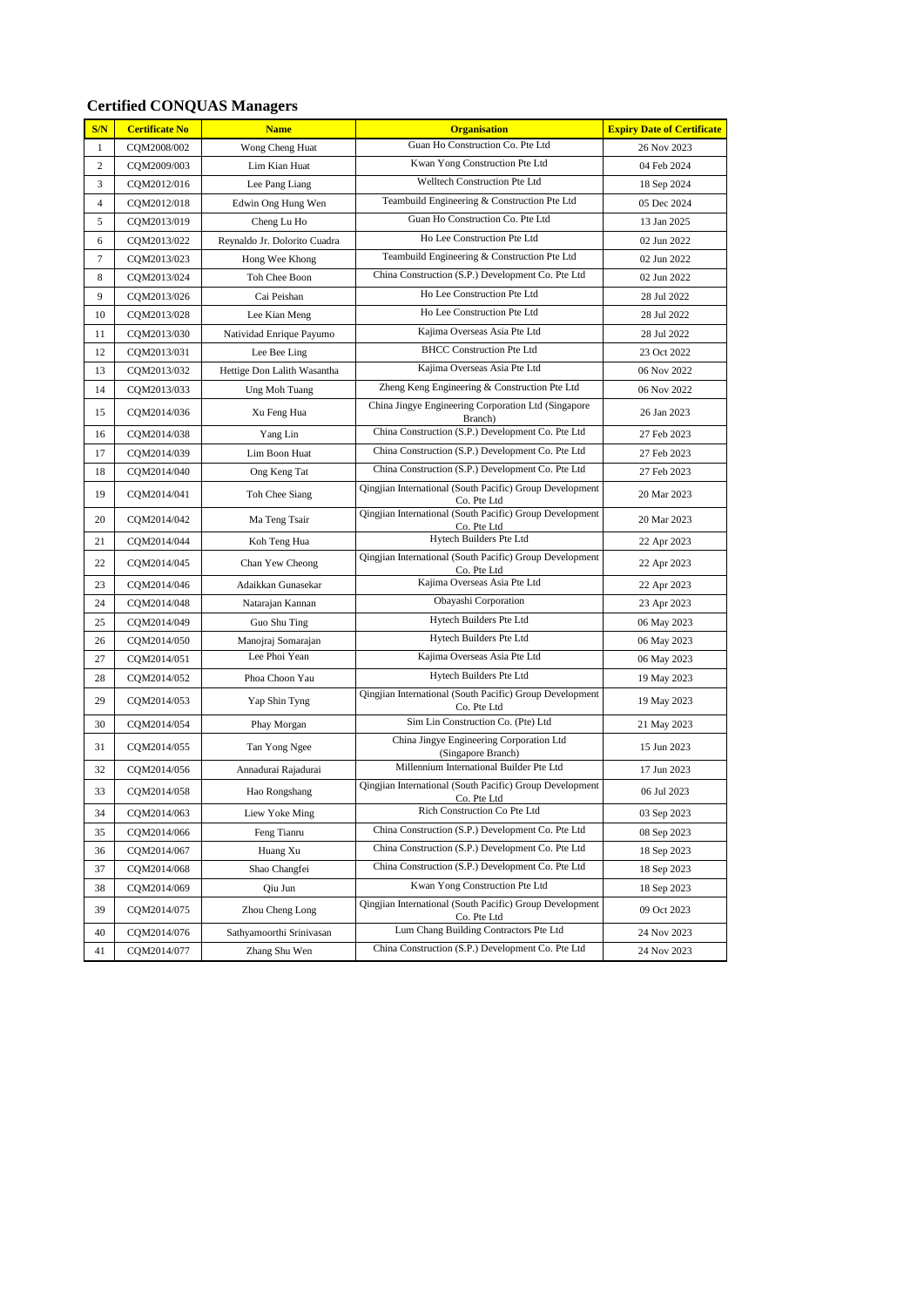| S/N            | <b>Certificate No</b> | <b>Name</b>                  | <b>Organisation</b>                                                     | <b>Expiry Date of Certificate</b> |
|----------------|-----------------------|------------------------------|-------------------------------------------------------------------------|-----------------------------------|
| $\mathbf{1}$   | CQM2008/002           | Wong Cheng Huat              | Guan Ho Construction Co. Pte Ltd                                        | 26 Nov 2023                       |
| $\overline{c}$ | CQM2009/003           | Lim Kian Huat                | Kwan Yong Construction Pte Ltd                                          | 04 Feb 2024                       |
| 3              | CQM2012/016           | Lee Pang Liang               | Welltech Construction Pte Ltd                                           | 18 Sep 2024                       |
| $\overline{4}$ | CQM2012/018           | Edwin Ong Hung Wen           | Teambuild Engineering & Construction Pte Ltd                            | 05 Dec 2024                       |
| 5              | CQM2013/019           | Cheng Lu Ho                  | Guan Ho Construction Co. Pte Ltd                                        | 13 Jan 2025                       |
| 6              | CQM2013/022           | Reynaldo Jr. Dolorito Cuadra | Ho Lee Construction Pte Ltd                                             | 02 Jun 2022                       |
| $\tau$         | CQM2013/023           | Hong Wee Khong               | Teambuild Engineering & Construction Pte Ltd                            | 02 Jun 2022                       |
| 8              | CQM2013/024           | Toh Chee Boon                | China Construction (S.P.) Development Co. Pte Ltd                       | 02 Jun 2022                       |
| 9              | CQM2013/026           | Cai Peishan                  | Ho Lee Construction Pte Ltd                                             | 28 Jul 2022                       |
| 10             | CQM2013/028           | Lee Kian Meng                | Ho Lee Construction Pte Ltd                                             | 28 Jul 2022                       |
| 11             | CQM2013/030           | Natividad Enrique Payumo     | Kajima Overseas Asia Pte Ltd                                            | 28 Jul 2022                       |
| 12             | CQM2013/031           | Lee Bee Ling                 | <b>BHCC Construction Pte Ltd</b>                                        | 23 Oct 2022                       |
| 13             | CQM2013/032           | Hettige Don Lalith Wasantha  | Kajima Overseas Asia Pte Ltd                                            | 06 Nov 2022                       |
| 14             | CQM2013/033           | Ung Moh Tuang                | Zheng Keng Engineering & Construction Pte Ltd                           | 06 Nov 2022                       |
| 15             | CQM2014/036           | Xu Feng Hua                  | China Jingye Engineering Corporation Ltd (Singapore<br>Branch)          | 26 Jan 2023                       |
| 16             | CQM2014/038           | Yang Lin                     | China Construction (S.P.) Development Co. Pte Ltd                       | 27 Feb 2023                       |
| 17             | CQM2014/039           | Lim Boon Huat                | China Construction (S.P.) Development Co. Pte Ltd                       | 27 Feb 2023                       |
| 18             | CQM2014/040           | Ong Keng Tat                 | China Construction (S.P.) Development Co. Pte Ltd                       | 27 Feb 2023                       |
| 19             | CQM2014/041           | Toh Chee Siang               | Qingjian International (South Pacific) Group Development<br>Co. Pte Ltd | 20 Mar 2023                       |
| 20             | CQM2014/042           | Ma Teng Tsair                | Qingjian International (South Pacific) Group Development<br>Co. Pte Ltd | 20 Mar 2023                       |
| 21             | COM2014/044           | Koh Teng Hua                 | Hytech Builders Pte Ltd                                                 | 22 Apr 2023                       |
| 22             | COM2014/045           | Chan Yew Cheong              | Qingjian International (South Pacific) Group Development<br>Co. Pte Ltd | 22 Apr 2023                       |
| 23             | CQM2014/046           | Adaikkan Gunasekar           | Kajima Overseas Asia Pte Ltd                                            | 22 Apr 2023                       |
| 24             | CQM2014/048           | Natarajan Kannan             | Obayashi Corporation                                                    | 23 Apr 2023                       |
| 25             | CQM2014/049           | Guo Shu Ting                 | Hytech Builders Pte Ltd                                                 | 06 May 2023                       |
| 26             | CQM2014/050           | Manojraj Somarajan           | Hytech Builders Pte Ltd                                                 | 06 May 2023                       |
| 27             | CQM2014/051           | Lee Phoi Yean                | Kajima Overseas Asia Pte Ltd                                            | 06 May 2023                       |
| 28             | CQM2014/052           | Phoa Choon Yau               | Hytech Builders Pte Ltd                                                 | 19 May 2023                       |
| 29             | CQM2014/053           | Yap Shin Tyng                | Qingjian International (South Pacific) Group Development<br>Co. Pte Ltd | 19 May 2023                       |
| 30             | CQM2014/054           | Phay Morgan                  | Sim Lin Construction Co. (Pte) Ltd                                      | 21 May 2023                       |
| 31             | CQM2014/055           | Tan Yong Ngee                | China Jingye Engineering Corporation Ltd<br>(Singapore Branch)          | 15 Jun 2023                       |
| 32             | COM2014/056           | Annadurai Rajadurai          | Millennium International Builder Pte Ltd                                | 17 Jun 2023                       |
| 33             | CQM2014/058           | Hao Rongshang                | Qingjian International (South Pacific) Group Development<br>Co. Pte Ltd | 06 Jul 2023                       |
| 34             | CQM2014/063           | Liew Yoke Ming               | Rich Construction Co Pte Ltd                                            | 03 Sep 2023                       |
| 35             | CQM2014/066           | Feng Tianru                  | China Construction (S.P.) Development Co. Pte Ltd                       | 08 Sep 2023                       |
| 36             | CQM2014/067           | Huang Xu                     | China Construction (S.P.) Development Co. Pte Ltd                       | 18 Sep 2023                       |
| 37             | CQM2014/068           | Shao Changfei                | China Construction (S.P.) Development Co. Pte Ltd                       | 18 Sep 2023                       |
| 38             | CQM2014/069           | Qiu Jun                      | Kwan Yong Construction Pte Ltd                                          | 18 Sep 2023                       |
| 39             | CQM2014/075           | Zhou Cheng Long              | Qingjian International (South Pacific) Group Development<br>Co. Pte Ltd | 09 Oct 2023                       |
| 40             | CQM2014/076           | Sathyamoorthi Srinivasan     | Lum Chang Building Contractors Pte Ltd                                  | 24 Nov 2023                       |
| 41             | CQM2014/077           | Zhang Shu Wen                | China Construction (S.P.) Development Co. Pte Ltd                       | 24 Nov 2023                       |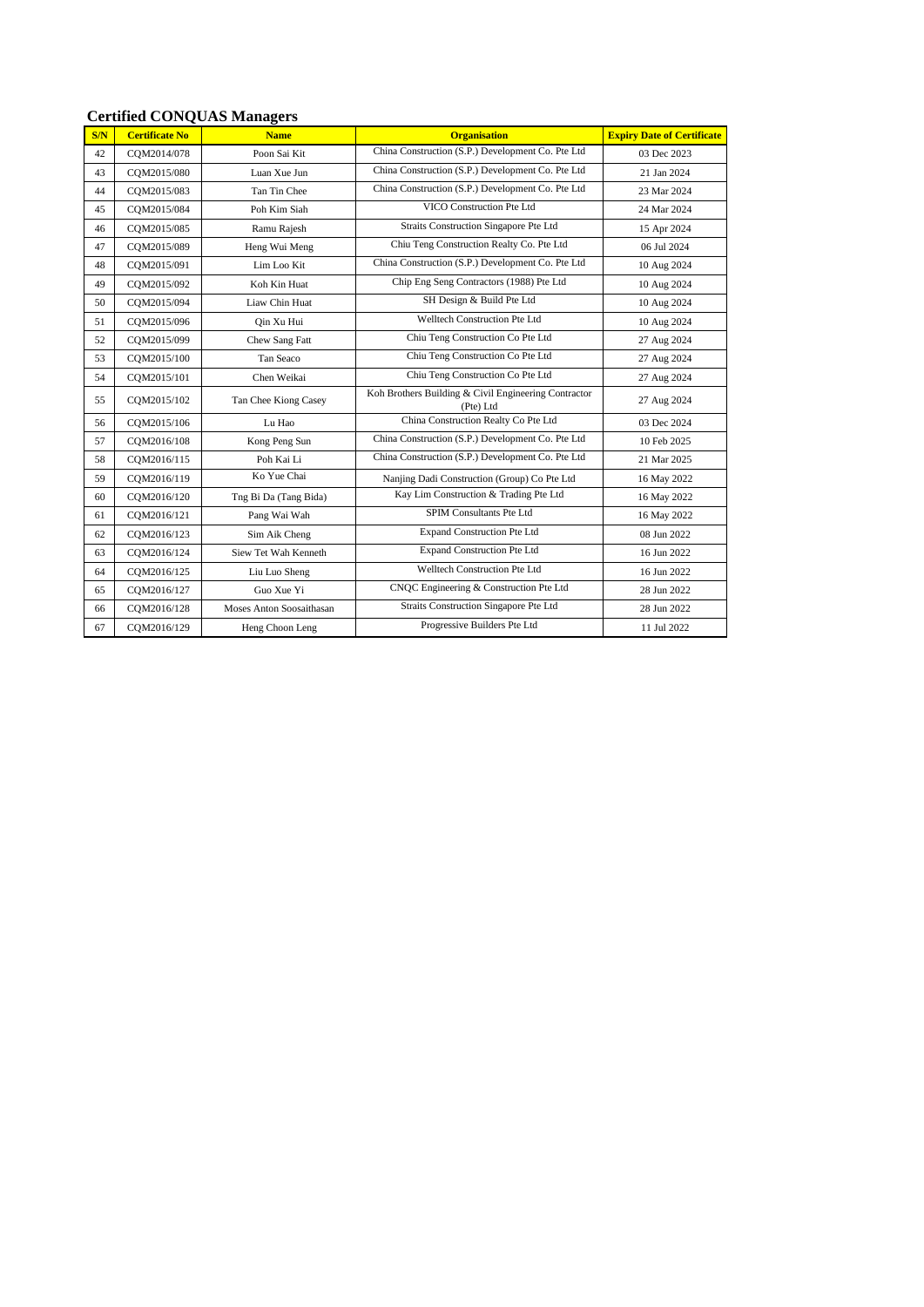| S/N | <b>Certificate No</b> | <b>Name</b>              | <b>Organisation</b>                                               | <b>Expiry Date of Certificate</b> |
|-----|-----------------------|--------------------------|-------------------------------------------------------------------|-----------------------------------|
| 42  | COM2014/078           | Poon Sai Kit             | China Construction (S.P.) Development Co. Pte Ltd                 | 03 Dec 2023                       |
| 43  | COM2015/080           | Luan Xue Jun             | China Construction (S.P.) Development Co. Pte Ltd                 | 21 Jan 2024                       |
| 44  | COM2015/083           | Tan Tin Chee             | China Construction (S.P.) Development Co. Pte Ltd                 | 23 Mar 2024                       |
| 45  | COM2015/084           | Poh Kim Siah             | VICO Construction Pte Ltd                                         | 24 Mar 2024                       |
| 46  | CQM2015/085           | Ramu Rajesh              | Straits Construction Singapore Pte Ltd                            | 15 Apr 2024                       |
| 47  | COM2015/089           | Heng Wui Meng            | Chiu Teng Construction Realty Co. Pte Ltd                         | 06 Jul 2024                       |
| 48  | COM2015/091           | Lim Loo Kit              | China Construction (S.P.) Development Co. Pte Ltd                 | 10 Aug 2024                       |
| 49  | COM2015/092           | Koh Kin Huat             | Chip Eng Seng Contractors (1988) Pte Ltd                          | 10 Aug 2024                       |
| 50  | COM2015/094           | Liaw Chin Huat           | SH Design & Build Pte Ltd                                         | 10 Aug 2024                       |
| 51  | COM2015/096           | Oin Xu Hui               | Welltech Construction Pte Ltd                                     | 10 Aug 2024                       |
| 52  | COM2015/099           | Chew Sang Fatt           | Chiu Teng Construction Co Pte Ltd                                 | 27 Aug 2024                       |
| 53  | CQM2015/100           | Tan Seaco                | Chiu Teng Construction Co Pte Ltd                                 | 27 Aug 2024                       |
| 54  | COM2015/101           | Chen Weikai              | Chiu Teng Construction Co Pte Ltd                                 | 27 Aug 2024                       |
| 55  | COM2015/102           | Tan Chee Kiong Casey     | Koh Brothers Building & Civil Engineering Contractor<br>(Pte) Ltd | 27 Aug 2024                       |
| 56  | COM2015/106           | Lu Hao                   | China Construction Realty Co Pte Ltd                              | 03 Dec 2024                       |
| 57  | COM2016/108           | Kong Peng Sun            | China Construction (S.P.) Development Co. Pte Ltd                 | 10 Feb 2025                       |
| 58  | COM2016/115           | Poh Kai Li               | China Construction (S.P.) Development Co. Pte Ltd                 | 21 Mar 2025                       |
| 59  | COM2016/119           | Ko Yue Chai              | Nanjing Dadi Construction (Group) Co Pte Ltd                      | 16 May 2022                       |
| 60  | COM2016/120           | Tng Bi Da (Tang Bida)    | Kay Lim Construction & Trading Pte Ltd                            | 16 May 2022                       |
| 61  | COM2016/121           | Pang Wai Wah             | SPIM Consultants Pte Ltd                                          | 16 May 2022                       |
| 62  | COM2016/123           | Sim Aik Cheng            | <b>Expand Construction Pte Ltd</b>                                | 08 Jun 2022                       |
| 63  | COM2016/124           | Siew Tet Wah Kenneth     | <b>Expand Construction Pte Ltd</b>                                | 16 Jun 2022                       |
| 64  | COM2016/125           | Liu Luo Sheng            | Welltech Construction Pte Ltd                                     | 16 Jun 2022                       |
| 65  | CQM2016/127           | Guo Xue Yi               | CNQC Engineering & Construction Pte Ltd                           | 28 Jun 2022                       |
| 66  | COM2016/128           | Moses Anton Soosaithasan | Straits Construction Singapore Pte Ltd                            | 28 Jun 2022                       |
| 67  | COM2016/129           | Heng Choon Leng          | Progressive Builders Pte Ltd                                      | 11 Jul 2022                       |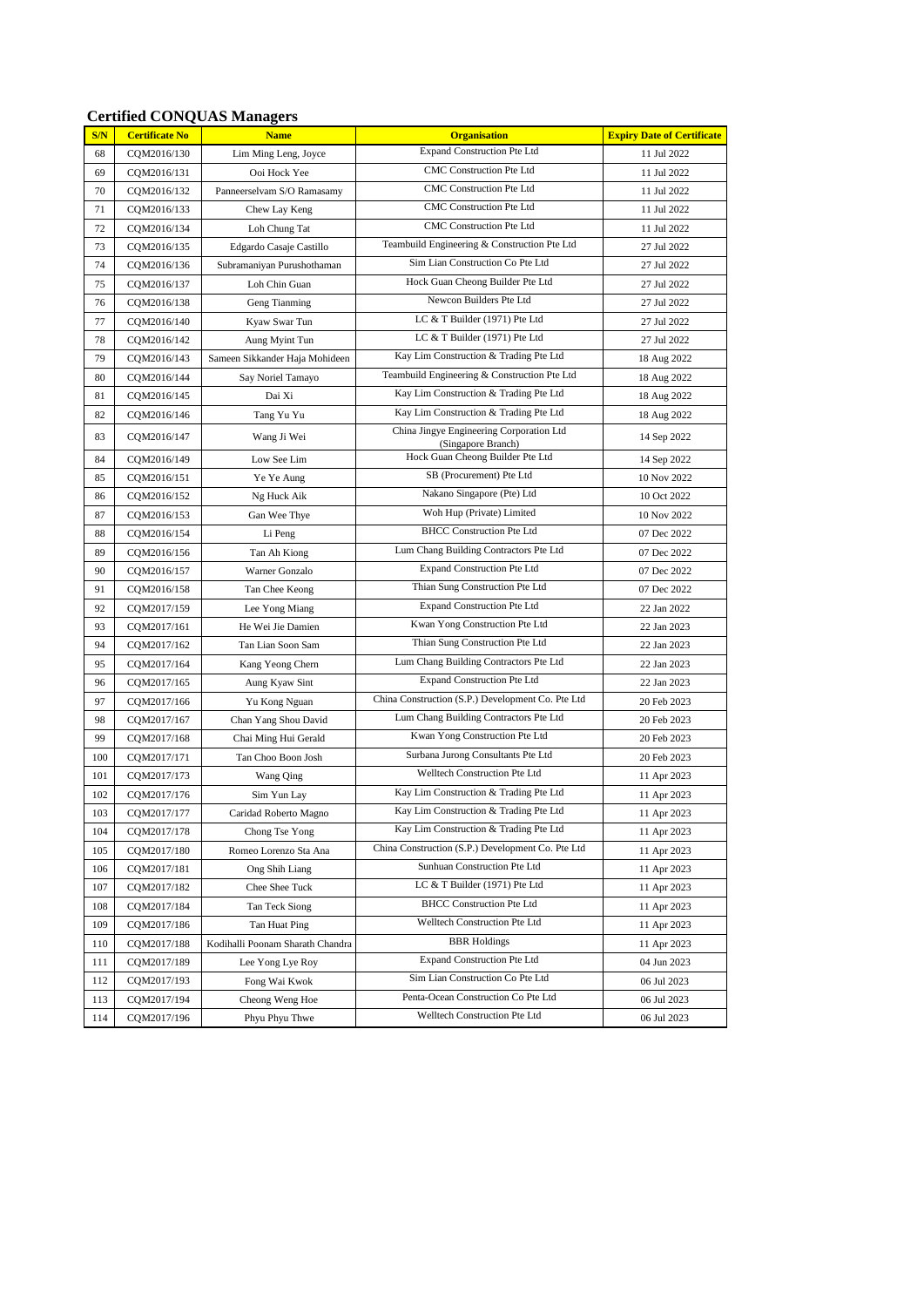| S/N | <b>Certificate No</b> | <b>Name</b>                      | <b>Organisation</b>                                            | <b>Expiry Date of Certificate</b> |
|-----|-----------------------|----------------------------------|----------------------------------------------------------------|-----------------------------------|
| 68  | CQM2016/130           | Lim Ming Leng, Joyce             | <b>Expand Construction Pte Ltd</b>                             | 11 Jul 2022                       |
| 69  | CQM2016/131           | Ooi Hock Yee                     | CMC Construction Pte Ltd                                       | 11 Jul 2022                       |
| 70  | CQM2016/132           | Panneerselvam S/O Ramasamy       | CMC Construction Pte Ltd                                       | 11 Jul 2022                       |
| 71  | CQM2016/133           | Chew Lay Keng                    | CMC Construction Pte Ltd                                       | 11 Jul 2022                       |
| 72  | CQM2016/134           | Loh Chung Tat                    | CMC Construction Pte Ltd                                       | 11 Jul 2022                       |
| 73  | CQM2016/135           | Edgardo Casaje Castillo          | Teambuild Engineering & Construction Pte Ltd                   | 27 Jul 2022                       |
| 74  | CQM2016/136           | Subramaniyan Purushothaman       | Sim Lian Construction Co Pte Ltd                               | 27 Jul 2022                       |
| 75  | CQM2016/137           | Loh Chin Guan                    | Hock Guan Cheong Builder Pte Ltd                               | 27 Jul 2022                       |
| 76  | CQM2016/138           | Geng Tianming                    | Newcon Builders Pte Ltd                                        | 27 Jul 2022                       |
| 77  | CQM2016/140           | Kyaw Swar Tun                    | LC & T Builder (1971) Pte Ltd                                  | 27 Jul 2022                       |
| 78  | CQM2016/142           | Aung Myint Tun                   | LC & T Builder (1971) Pte Ltd                                  | 27 Jul 2022                       |
| 79  | CQM2016/143           | Sameen Sikkander Haja Mohideen   | Kay Lim Construction & Trading Pte Ltd                         | 18 Aug 2022                       |
| 80  | CQM2016/144           | Say Noriel Tamayo                | Teambuild Engineering & Construction Pte Ltd                   | 18 Aug 2022                       |
| 81  | CQM2016/145           | Dai Xi                           | Kay Lim Construction & Trading Pte Ltd                         | 18 Aug 2022                       |
| 82  | CQM2016/146           | Tang Yu Yu                       | Kay Lim Construction & Trading Pte Ltd                         | 18 Aug 2022                       |
| 83  | CQM2016/147           | Wang Ji Wei                      | China Jingye Engineering Corporation Ltd<br>(Singapore Branch) | 14 Sep 2022                       |
| 84  | CQM2016/149           | Low See Lim                      | Hock Guan Cheong Builder Pte Ltd                               | 14 Sep 2022                       |
| 85  | CQM2016/151           | Ye Ye Aung                       | SB (Procurement) Pte Ltd                                       | 10 Nov 2022                       |
| 86  | CQM2016/152           | Ng Huck Aik                      | Nakano Singapore (Pte) Ltd                                     | 10 Oct 2022                       |
| 87  | CQM2016/153           | Gan Wee Thye                     | Woh Hup (Private) Limited                                      | 10 Nov 2022                       |
| 88  | CQM2016/154           | Li Peng                          | <b>BHCC Construction Pte Ltd</b>                               | 07 Dec 2022                       |
| 89  | CQM2016/156           | Tan Ah Kiong                     | Lum Chang Building Contractors Pte Ltd                         | 07 Dec 2022                       |
| 90  | CQM2016/157           | Warner Gonzalo                   | <b>Expand Construction Pte Ltd</b>                             | 07 Dec 2022                       |
| 91  | CQM2016/158           | Tan Chee Keong                   | Thian Sung Construction Pte Ltd                                | 07 Dec 2022                       |
| 92  | CQM2017/159           | Lee Yong Miang                   | <b>Expand Construction Pte Ltd</b>                             | 22 Jan 2022                       |
| 93  | CQM2017/161           | He Wei Jie Damien                | Kwan Yong Construction Pte Ltd                                 | 22 Jan 2023                       |
| 94  | CQM2017/162           | Tan Lian Soon Sam                | Thian Sung Construction Pte Ltd                                | 22 Jan 2023                       |
| 95  | CQM2017/164           | Kang Yeong Chern                 | Lum Chang Building Contractors Pte Ltd                         | 22 Jan 2023                       |
| 96  | CQM2017/165           | Aung Kyaw Sint                   | <b>Expand Construction Pte Ltd</b>                             | 22 Jan 2023                       |
| 97  | CQM2017/166           | Yu Kong Nguan                    | China Construction (S.P.) Development Co. Pte Ltd              | 20 Feb 2023                       |
| 98  | CQM2017/167           | Chan Yang Shou David             | Lum Chang Building Contractors Pte Ltd                         | 20 Feb 2023                       |
| 99  | CQM2017/168           | Chai Ming Hui Gerald             | Kwan Yong Construction Pte Ltd                                 | 20 Feb 2023                       |
| 100 | CQM2017/171           | Tan Choo Boon Josh               | Surbana Jurong Consultants Pte Ltd                             | 20 Feb 2023                       |
| 101 | CQM2017/173           | Wang Qing                        | Welltech Construction Pte Ltd                                  | 11 Apr 2023                       |
| 102 | CQM2017/176           | Sim Yun Lay                      | Kay Lim Construction & Trading Pte Ltd                         | 11 Apr 2023                       |
| 103 | CQM2017/177           | Caridad Roberto Magno            | Kay Lim Construction & Trading Pte Ltd                         | 11 Apr 2023                       |
| 104 | CQM2017/178           | Chong Tse Yong                   | Kay Lim Construction & Trading Pte Ltd                         | 11 Apr 2023                       |
| 105 | CQM2017/180           | Romeo Lorenzo Sta Ana            | China Construction (S.P.) Development Co. Pte Ltd              | 11 Apr 2023                       |
| 106 | CQM2017/181           | Ong Shih Liang                   | Sunhuan Construction Pte Ltd                                   | 11 Apr 2023                       |
| 107 | CQM2017/182           | Chee Shee Tuck                   | LC & T Builder (1971) Pte Ltd                                  | 11 Apr 2023                       |
| 108 | CQM2017/184           | Tan Teck Siong                   | <b>BHCC Construction Pte Ltd</b>                               | 11 Apr 2023                       |
| 109 | CQM2017/186           | Tan Huat Ping                    | Welltech Construction Pte Ltd                                  | 11 Apr 2023                       |
| 110 | CQM2017/188           | Kodihalli Poonam Sharath Chandra | <b>BBR</b> Holdings                                            | 11 Apr 2023                       |
| 111 | CQM2017/189           | Lee Yong Lye Roy                 | <b>Expand Construction Pte Ltd</b>                             | 04 Jun 2023                       |
| 112 | CQM2017/193           | Fong Wai Kwok                    | Sim Lian Construction Co Pte Ltd                               | 06 Jul 2023                       |
| 113 | CQM2017/194           | Cheong Weng Hoe                  | Penta-Ocean Construction Co Pte Ltd                            | 06 Jul 2023                       |
| 114 | CQM2017/196           | Phyu Phyu Thwe                   | Welltech Construction Pte Ltd                                  | 06 Jul 2023                       |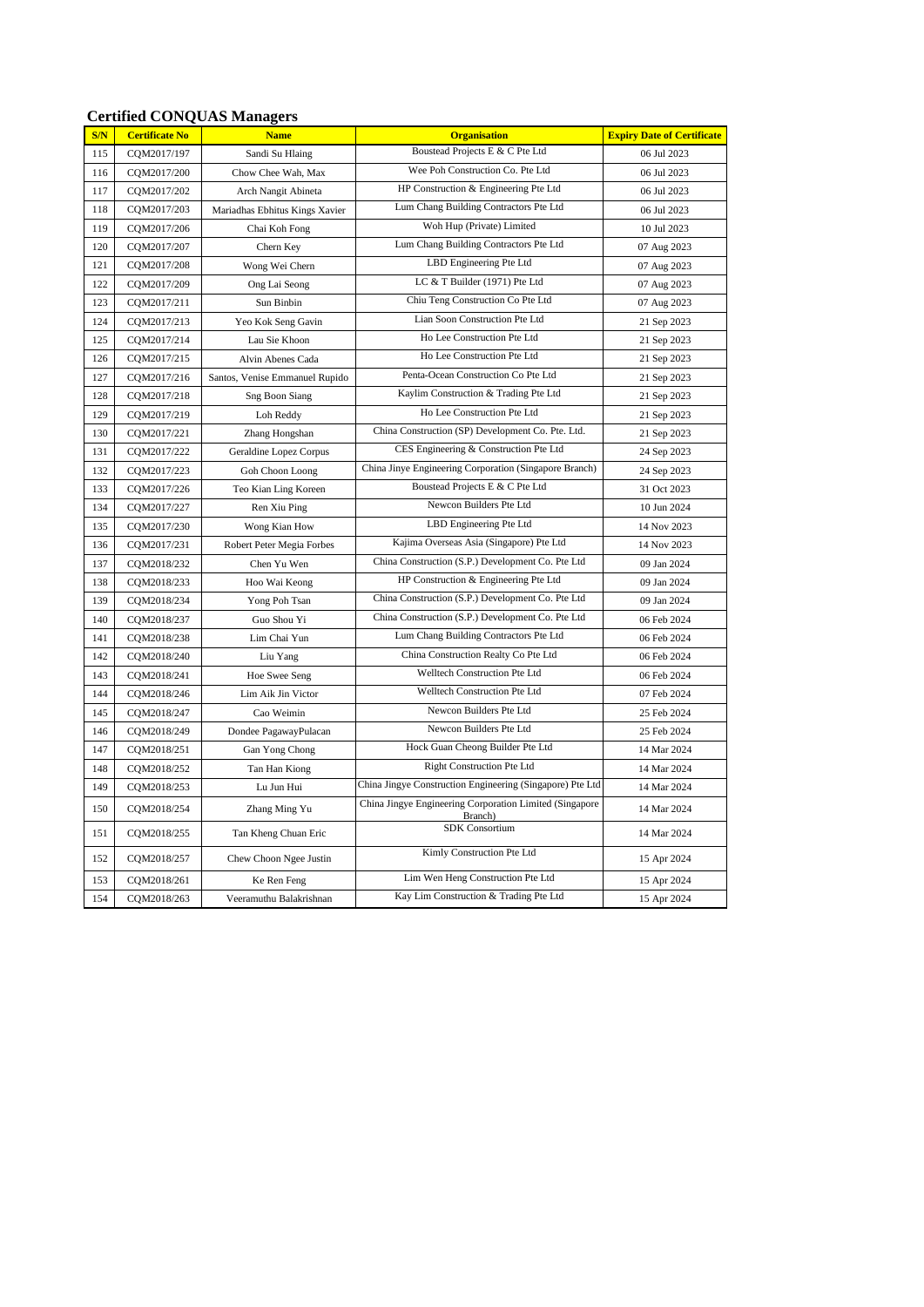| S/N | <b>Certificate No</b> | <b>Name</b>                    | <b>Organisation</b>                                                | <b>Expiry Date of Certificate</b> |
|-----|-----------------------|--------------------------------|--------------------------------------------------------------------|-----------------------------------|
| 115 | CQM2017/197           | Sandi Su Hlaing                | Boustead Projects E & C Pte Ltd                                    | 06 Jul 2023                       |
| 116 | CQM2017/200           | Chow Chee Wah, Max             | Wee Poh Construction Co. Pte Ltd                                   | 06 Jul 2023                       |
| 117 | CQM2017/202           | Arch Nangit Abineta            | HP Construction & Engineering Pte Ltd                              | 06 Jul 2023                       |
| 118 | CQM2017/203           | Mariadhas Ebhitus Kings Xavier | Lum Chang Building Contractors Pte Ltd                             | 06 Jul 2023                       |
| 119 | COM2017/206           | Chai Koh Fong                  | Woh Hup (Private) Limited                                          | 10 Jul 2023                       |
| 120 | CQM2017/207           | Chern Key                      | Lum Chang Building Contractors Pte Ltd                             | 07 Aug 2023                       |
| 121 | CQM2017/208           | Wong Wei Chern                 | LBD Engineering Pte Ltd                                            | 07 Aug 2023                       |
| 122 | CQM2017/209           | Ong Lai Seong                  | LC & T Builder (1971) Pte Ltd                                      | 07 Aug 2023                       |
| 123 | CQM2017/211           | Sun Binbin                     | Chiu Teng Construction Co Pte Ltd                                  | 07 Aug 2023                       |
| 124 | CQM2017/213           | Yeo Kok Seng Gavin             | Lian Soon Construction Pte Ltd                                     | 21 Sep 2023                       |
| 125 | CQM2017/214           | Lau Sie Khoon                  | Ho Lee Construction Pte Ltd                                        | 21 Sep 2023                       |
| 126 | COM2017/215           | Alvin Abenes Cada              | Ho Lee Construction Pte Ltd                                        | 21 Sep 2023                       |
| 127 | CQM2017/216           | Santos, Venise Emmanuel Rupido | Penta-Ocean Construction Co Pte Ltd                                | 21 Sep 2023                       |
| 128 | CQM2017/218           | <b>Sng Boon Siang</b>          | Kaylim Construction & Trading Pte Ltd                              | 21 Sep 2023                       |
| 129 | CQM2017/219           | Loh Reddy                      | Ho Lee Construction Pte Ltd                                        | 21 Sep 2023                       |
| 130 | CQM2017/221           | Zhang Hongshan                 | China Construction (SP) Development Co. Pte. Ltd.                  | 21 Sep 2023                       |
| 131 | CQM2017/222           | Geraldine Lopez Corpus         | CES Engineering & Construction Pte Ltd                             | 24 Sep 2023                       |
| 132 | CQM2017/223           | Goh Choon Loong                | China Jinye Engineering Corporation (Singapore Branch)             | 24 Sep 2023                       |
| 133 | CQM2017/226           | Teo Kian Ling Koreen           | Boustead Projects E & C Pte Ltd                                    | 31 Oct 2023                       |
| 134 | CQM2017/227           | Ren Xiu Ping                   | Newcon Builders Pte Ltd                                            | 10 Jun 2024                       |
| 135 | CQM2017/230           | Wong Kian How                  | LBD Engineering Pte Ltd                                            | 14 Nov 2023                       |
| 136 | CQM2017/231           | Robert Peter Megia Forbes      | Kajima Overseas Asia (Singapore) Pte Ltd                           | 14 Nov 2023                       |
| 137 | CQM2018/232           | Chen Yu Wen                    | China Construction (S.P.) Development Co. Pte Ltd                  | 09 Jan 2024                       |
| 138 | CQM2018/233           | Hoo Wai Keong                  | HP Construction & Engineering Pte Ltd                              | 09 Jan 2024                       |
| 139 | CQM2018/234           | Yong Poh Tsan                  | China Construction (S.P.) Development Co. Pte Ltd                  | 09 Jan 2024                       |
| 140 | CQM2018/237           | Guo Shou Yi                    | China Construction (S.P.) Development Co. Pte Ltd                  | 06 Feb 2024                       |
| 141 | CQM2018/238           | Lim Chai Yun                   | Lum Chang Building Contractors Pte Ltd                             | 06 Feb 2024                       |
| 142 | CQM2018/240           | Liu Yang                       | China Construction Realty Co Pte Ltd                               | 06 Feb 2024                       |
| 143 | COM2018/241           | Hoe Swee Seng                  | Welltech Construction Pte Ltd                                      | 06 Feb 2024                       |
| 144 | CQM2018/246           | Lim Aik Jin Victor             | Welltech Construction Pte Ltd                                      | 07 Feb 2024                       |
| 145 | CQM2018/247           | Cao Weimin                     | Newcon Builders Pte Ltd                                            | 25 Feb 2024                       |
| 146 | CQM2018/249           | Dondee PagawayPulacan          | Newcon Builders Pte Ltd                                            | 25 Feb 2024                       |
| 147 | CQM2018/251           | Gan Yong Chong                 | Hock Guan Cheong Builder Pte Ltd                                   | 14 Mar 2024                       |
| 148 | CQM2018/252           | Tan Han Kiong                  | <b>Right Construction Pte Ltd</b>                                  | 14 Mar 2024                       |
| 149 | CQM2018/253           | Lu Jun Hui                     | China Jingye Construction Engineering (Singapore) Pte Ltd          | 14 Mar 2024                       |
| 150 | CQM2018/254           | Zhang Ming Yu                  | China Jingye Engineering Corporation Limited (Singapore<br>Branch) | 14 Mar 2024                       |
| 151 | CQM2018/255           | Tan Kheng Chuan Eric           | <b>SDK</b> Consortium                                              | 14 Mar 2024                       |
| 152 | CQM2018/257           | Chew Choon Ngee Justin         | Kimly Construction Pte Ltd                                         | 15 Apr 2024                       |
| 153 | CQM2018/261           | Ke Ren Feng                    | Lim Wen Heng Construction Pte Ltd                                  | 15 Apr 2024                       |
| 154 | CQM2018/263           | Veeramuthu Balakrishnan        | Kay Lim Construction & Trading Pte Ltd                             | 15 Apr 2024                       |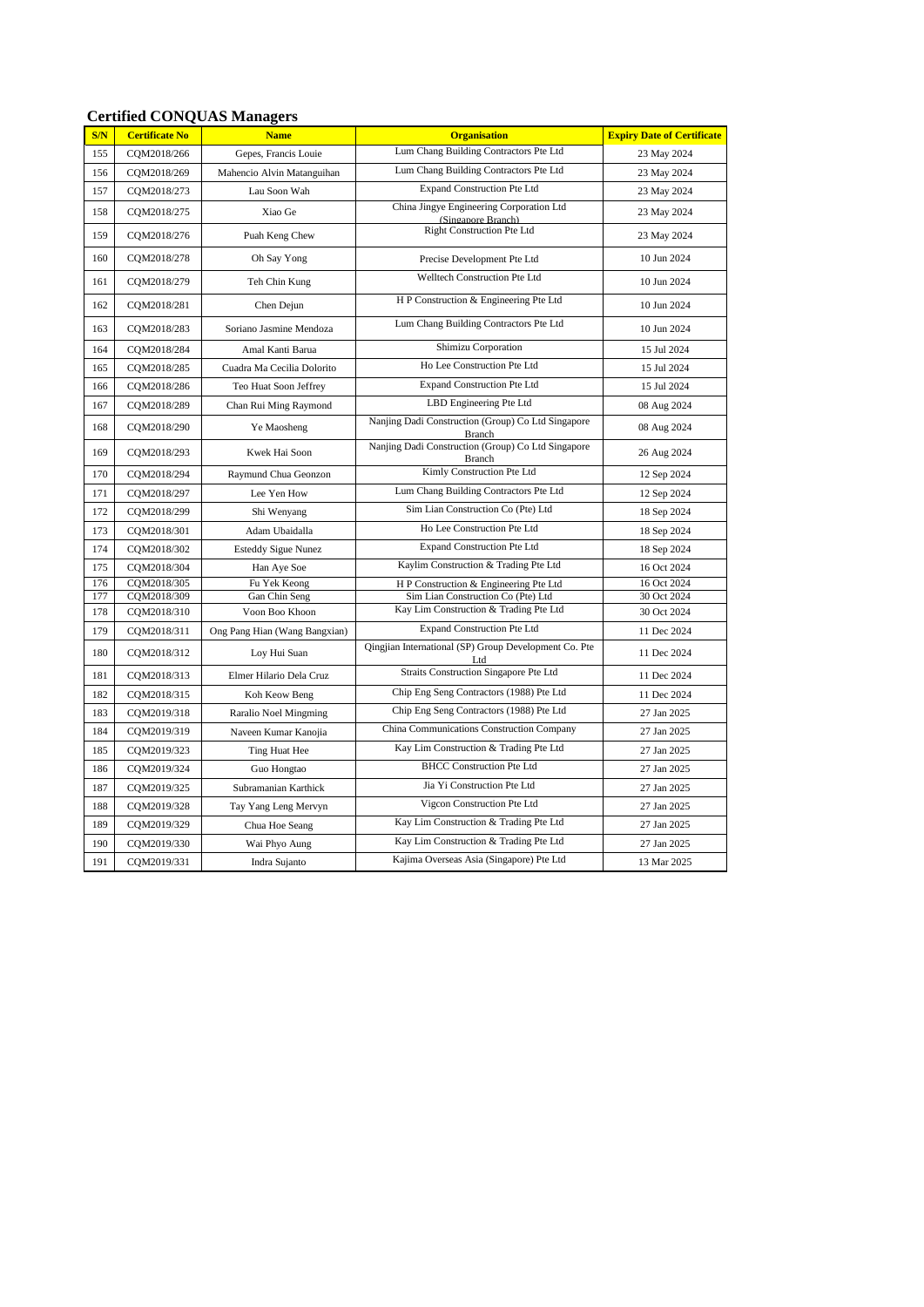| S/N | <b>Certificate No</b> | <b>Name</b>                   | <b>Organisation</b>                                            | <b>Expiry Date of Certificate</b> |
|-----|-----------------------|-------------------------------|----------------------------------------------------------------|-----------------------------------|
| 155 | CQM2018/266           | Gepes, Francis Louie          | Lum Chang Building Contractors Pte Ltd                         | 23 May 2024                       |
| 156 | CQM2018/269           | Mahencio Alvin Matanguihan    | Lum Chang Building Contractors Pte Ltd                         | 23 May 2024                       |
| 157 | CQM2018/273           | Lau Soon Wah                  | <b>Expand Construction Pte Ltd</b>                             | 23 May 2024                       |
| 158 | CQM2018/275           | Xiao Ge                       | China Jingye Engineering Corporation Ltd<br>(Singapore Branch) | 23 May 2024                       |
| 159 | COM2018/276           | Puah Keng Chew                | Right Construction Pte Ltd                                     | 23 May 2024                       |
| 160 | CQM2018/278           | Oh Say Yong                   | Precise Development Pte Ltd                                    | 10 Jun 2024                       |
| 161 | CQM2018/279           | Teh Chin Kung                 | Welltech Construction Pte Ltd                                  | 10 Jun 2024                       |
| 162 | CQM2018/281           | Chen Dejun                    | H P Construction & Engineering Pte Ltd                         | 10 Jun 2024                       |
| 163 | CQM2018/283           | Soriano Jasmine Mendoza       | Lum Chang Building Contractors Pte Ltd                         | 10 Jun 2024                       |
| 164 | CQM2018/284           | Amal Kanti Barua              | Shimizu Corporation                                            | 15 Jul 2024                       |
| 165 | COM2018/285           | Cuadra Ma Cecilia Dolorito    | Ho Lee Construction Pte Ltd                                    | 15 Jul 2024                       |
| 166 | CQM2018/286           | Teo Huat Soon Jeffrey         | <b>Expand Construction Pte Ltd</b>                             | 15 Jul 2024                       |
| 167 | CQM2018/289           | Chan Rui Ming Raymond         | LBD Engineering Pte Ltd                                        | 08 Aug 2024                       |
| 168 | CQM2018/290           | Ye Maosheng                   | Nanjing Dadi Construction (Group) Co Ltd Singapore<br>Branch   | 08 Aug 2024                       |
| 169 | CQM2018/293           | Kwek Hai Soon                 | Nanjing Dadi Construction (Group) Co Ltd Singapore<br>Branch   | 26 Aug 2024                       |
| 170 | CQM2018/294           | Raymund Chua Geonzon          | Kimly Construction Pte Ltd                                     | 12 Sep 2024                       |
| 171 | CQM2018/297           | Lee Yen How                   | Lum Chang Building Contractors Pte Ltd                         | 12 Sep 2024                       |
| 172 | CQM2018/299           | Shi Wenyang                   | Sim Lian Construction Co (Pte) Ltd                             | 18 Sep 2024                       |
| 173 | COM2018/301           | Adam Ubaidalla                | Ho Lee Construction Pte Ltd                                    | 18 Sep 2024                       |
| 174 | CQM2018/302           | <b>Esteddy Sigue Nunez</b>    | <b>Expand Construction Pte Ltd</b>                             | 18 Sep 2024                       |
| 175 | COM2018/304           | Han Aye Soe                   | Kaylim Construction & Trading Pte Ltd                          | 16 Oct 2024                       |
| 176 | COM2018/305           | Fu Yek Keong                  | H P Construction & Engineering Pte Ltd                         | 16 Oct 2024                       |
| 177 | CQM2018/309           | Gan Chin Seng                 | Sim Lian Construction Co (Pte) Ltd                             | 30 Oct 2024                       |
| 178 | CQM2018/310           | Voon Boo Khoon                | Kay Lim Construction & Trading Pte Ltd                         | 30 Oct 2024                       |
| 179 | CQM2018/311           | Ong Pang Hian (Wang Bangxian) | <b>Expand Construction Pte Ltd</b>                             | 11 Dec 2024                       |
| 180 | CQM2018/312           | Loy Hui Suan                  | Qingjian International (SP) Group Development Co. Pte<br>Ltd   | 11 Dec 2024                       |
| 181 | CQM2018/313           | Elmer Hilario Dela Cruz       | Straits Construction Singapore Pte Ltd                         | 11 Dec 2024                       |
| 182 | CQM2018/315           | Koh Keow Beng                 | Chip Eng Seng Contractors (1988) Pte Ltd                       | 11 Dec 2024                       |
| 183 | CQM2019/318           | Raralio Noel Mingming         | Chip Eng Seng Contractors (1988) Pte Ltd                       | 27 Jan 2025                       |
| 184 | CQM2019/319           | Naveen Kumar Kanojia          | China Communications Construction Company                      | 27 Jan 2025                       |
| 185 | CQM2019/323           | Ting Huat Hee                 | Kay Lim Construction & Trading Pte Ltd                         | 27 Jan 2025                       |
| 186 | CQM2019/324           | Guo Hongtao                   | <b>BHCC Construction Pte Ltd</b>                               | 27 Jan 2025                       |
| 187 | CQM2019/325           | Subramanian Karthick          | Jia Yi Construction Pte Ltd                                    | 27 Jan 2025                       |
| 188 | CQM2019/328           | Tay Yang Leng Mervyn          | Vigcon Construction Pte Ltd                                    | 27 Jan 2025                       |
| 189 | COM2019/329           | Chua Hoe Seang                | Kay Lim Construction & Trading Pte Ltd                         | 27 Jan 2025                       |
| 190 | CQM2019/330           | Wai Phyo Aung                 | Kay Lim Construction & Trading Pte Ltd                         | 27 Jan 2025                       |
| 191 | CQM2019/331           | Indra Sujanto                 | Kajima Overseas Asia (Singapore) Pte Ltd                       | 13 Mar 2025                       |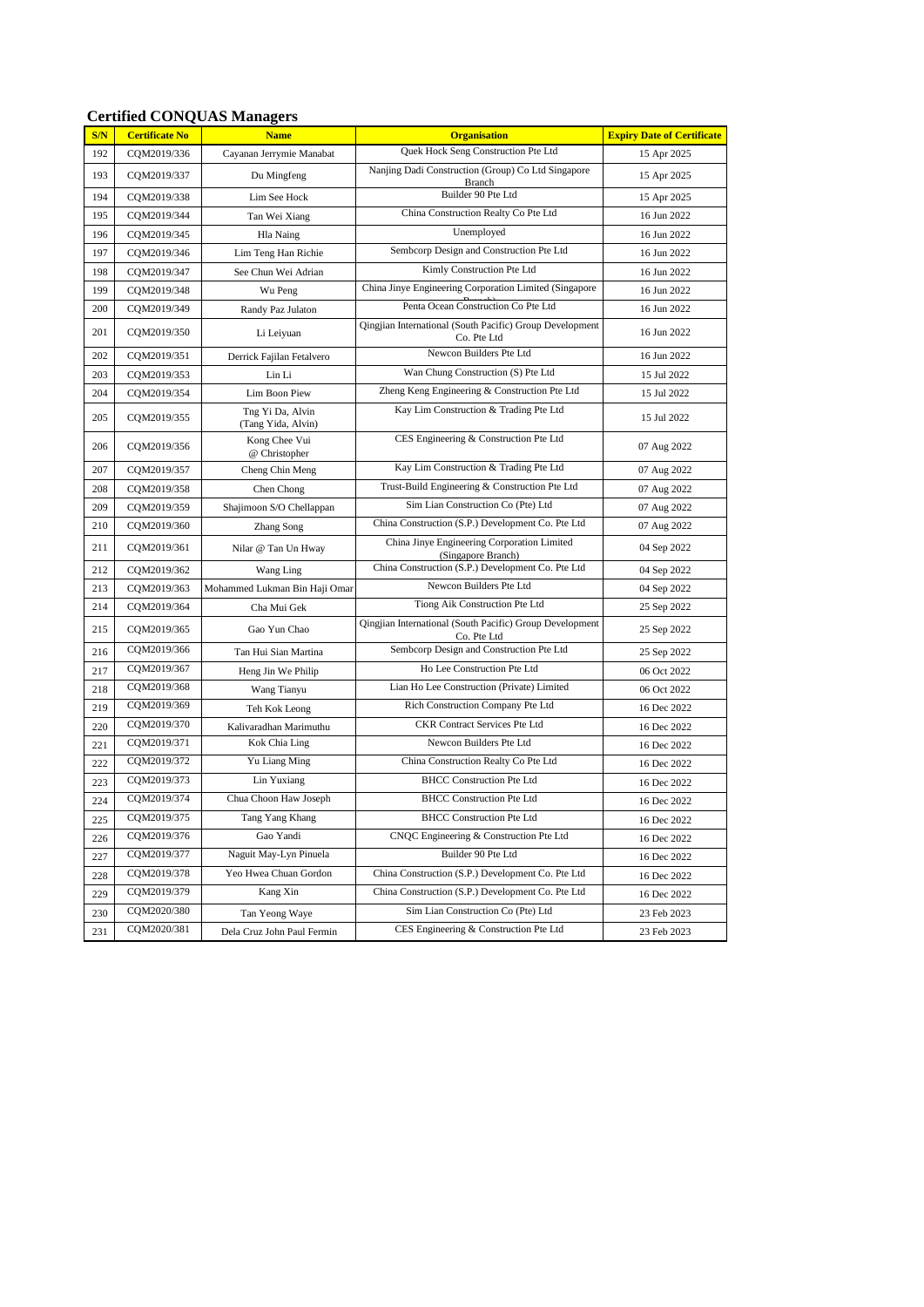| S/N | <b>Certificate No</b> | <b>Name</b>                            | <b>Organisation</b>                                                            | <b>Expiry Date of Certificate</b> |
|-----|-----------------------|----------------------------------------|--------------------------------------------------------------------------------|-----------------------------------|
| 192 | COM2019/336           | Cayanan Jerrymie Manabat               | Quek Hock Seng Construction Pte Ltd                                            | 15 Apr 2025                       |
| 193 | CQM2019/337           | Du Mingfeng                            | Nanjing Dadi Construction (Group) Co Ltd Singapore<br>Branch                   | 15 Apr 2025                       |
| 194 | CQM2019/338           | Lim See Hock                           | Builder 90 Pte Ltd                                                             | 15 Apr 2025                       |
| 195 | CQM2019/344           | Tan Wei Xiang                          | China Construction Realty Co Pte Ltd                                           | 16 Jun 2022                       |
| 196 | CQM2019/345           | Hla Naing                              | Unemployed                                                                     | 16 Jun 2022                       |
| 197 | CQM2019/346           | Lim Teng Han Richie                    | Sembcorp Design and Construction Pte Ltd                                       | 16 Jun 2022                       |
| 198 | CQM2019/347           | See Chun Wei Adrian                    | Kimly Construction Pte Ltd                                                     | 16 Jun 2022                       |
| 199 | CQM2019/348           | Wu Peng                                | China Jinye Engineering Corporation Limited (Singapore                         | 16 Jun 2022                       |
| 200 | CQM2019/349           | Randy Paz Julaton                      | Penta Ocean Construction Co Pte Ltd                                            | 16 Jun 2022                       |
| 201 | CQM2019/350           | Li Leiyuan                             | <b>Oingjian International (South Pacific) Group Development</b><br>Co. Pte Ltd | 16 Jun 2022                       |
| 202 | CQM2019/351           | Derrick Fajilan Fetalvero              | Newcon Builders Pte Ltd                                                        | 16 Jun 2022                       |
| 203 | CQM2019/353           | Lin Li                                 | Wan Chung Construction (S) Pte Ltd                                             | 15 Jul 2022                       |
| 204 | CQM2019/354           | Lim Boon Piew                          | Zheng Keng Engineering & Construction Pte Ltd                                  | 15 Jul 2022                       |
| 205 | CQM2019/355           | Tng Yi Da, Alvin<br>(Tang Yida, Alvin) | Kay Lim Construction & Trading Pte Ltd                                         | 15 Jul 2022                       |
| 206 | COM2019/356           | Kong Chee Vui<br>@ Christopher         | CES Engineering & Construction Pte Ltd                                         | 07 Aug 2022                       |
| 207 | CQM2019/357           | Cheng Chin Meng                        | Kay Lim Construction & Trading Pte Ltd                                         | 07 Aug 2022                       |
| 208 | CQM2019/358           | Chen Chong                             | Trust-Build Engineering & Construction Pte Ltd                                 | 07 Aug 2022                       |
| 209 | CQM2019/359           | Shajimoon S/O Chellappan               | Sim Lian Construction Co (Pte) Ltd                                             | 07 Aug 2022                       |
| 210 | CQM2019/360           | Zhang Song                             | China Construction (S.P.) Development Co. Pte Ltd                              | 07 Aug 2022                       |
| 211 | CQM2019/361           | Nilar @ Tan Un Hway                    | China Jinye Engineering Corporation Limited<br>(Singapore Branch)              | 04 Sep 2022                       |
| 212 | CQM2019/362           | Wang Ling                              | China Construction (S.P.) Development Co. Pte Ltd                              | 04 Sep 2022                       |
| 213 | CQM2019/363           | Mohammed Lukman Bin Haji Omar          | Newcon Builders Pte Ltd                                                        | 04 Sep 2022                       |
| 214 | CQM2019/364           | Cha Mui Gek                            | Tiong Aik Construction Pte Ltd                                                 | 25 Sep 2022                       |
| 215 | CQM2019/365           | Gao Yun Chao                           | Qingjian International (South Pacific) Group Development<br>Co. Pte Ltd        | 25 Sep 2022                       |
| 216 | CQM2019/366           | Tan Hui Sian Martina                   | Sembcorp Design and Construction Pte Ltd                                       | 25 Sep 2022                       |
| 217 | CQM2019/367           | Heng Jin We Philip                     | Ho Lee Construction Pte Ltd                                                    | 06 Oct 2022                       |
| 218 | CQM2019/368           | Wang Tianyu                            | Lian Ho Lee Construction (Private) Limited                                     | 06 Oct 2022                       |
| 219 | CQM2019/369           | Teh Kok Leong                          | Rich Construction Company Pte Ltd                                              | 16 Dec 2022                       |
| 220 | CQM2019/370           | Kalivaradhan Marimuthu                 | CKR Contract Services Pte Ltd                                                  | 16 Dec 2022                       |
| 221 | CQM2019/371           | Kok Chia Ling                          | Newcon Builders Pte Ltd                                                        | 16 Dec 2022                       |
| 222 | CQM2019/372           | Yu Liang Ming                          | China Construction Realty Co Pte Ltd                                           | 16 Dec 2022                       |
| 223 | CQM2019/373           | Lin Yuxiang                            | <b>BHCC Construction Pte Ltd</b>                                               | 16 Dec 2022                       |
| 224 | CQM2019/374           | Chua Choon Haw Joseph                  | <b>BHCC Construction Pte Ltd</b>                                               | 16 Dec 2022                       |
| 225 | CQM2019/375           | Tang Yang Khang                        | <b>BHCC Construction Pte Ltd</b>                                               | 16 Dec 2022                       |
| 226 | CQM2019/376           | Gao Yandi                              | CNQC Engineering & Construction Pte Ltd                                        | 16 Dec 2022                       |
| 227 | CQM2019/377           | Naguit May-Lyn Pinuela                 | Builder 90 Pte Ltd                                                             | 16 Dec 2022                       |
| 228 | CQM2019/378           | Yeo Hwea Chuan Gordon                  | China Construction (S.P.) Development Co. Pte Ltd                              | 16 Dec 2022                       |
| 229 | CQM2019/379           | Kang Xin                               | China Construction (S.P.) Development Co. Pte Ltd                              | 16 Dec 2022                       |
| 230 | CQM2020/380           | Tan Yeong Waye                         | Sim Lian Construction Co (Pte) Ltd                                             | 23 Feb 2023                       |
| 231 | CQM2020/381           | Dela Cruz John Paul Fermin             | CES Engineering & Construction Pte Ltd                                         | 23 Feb 2023                       |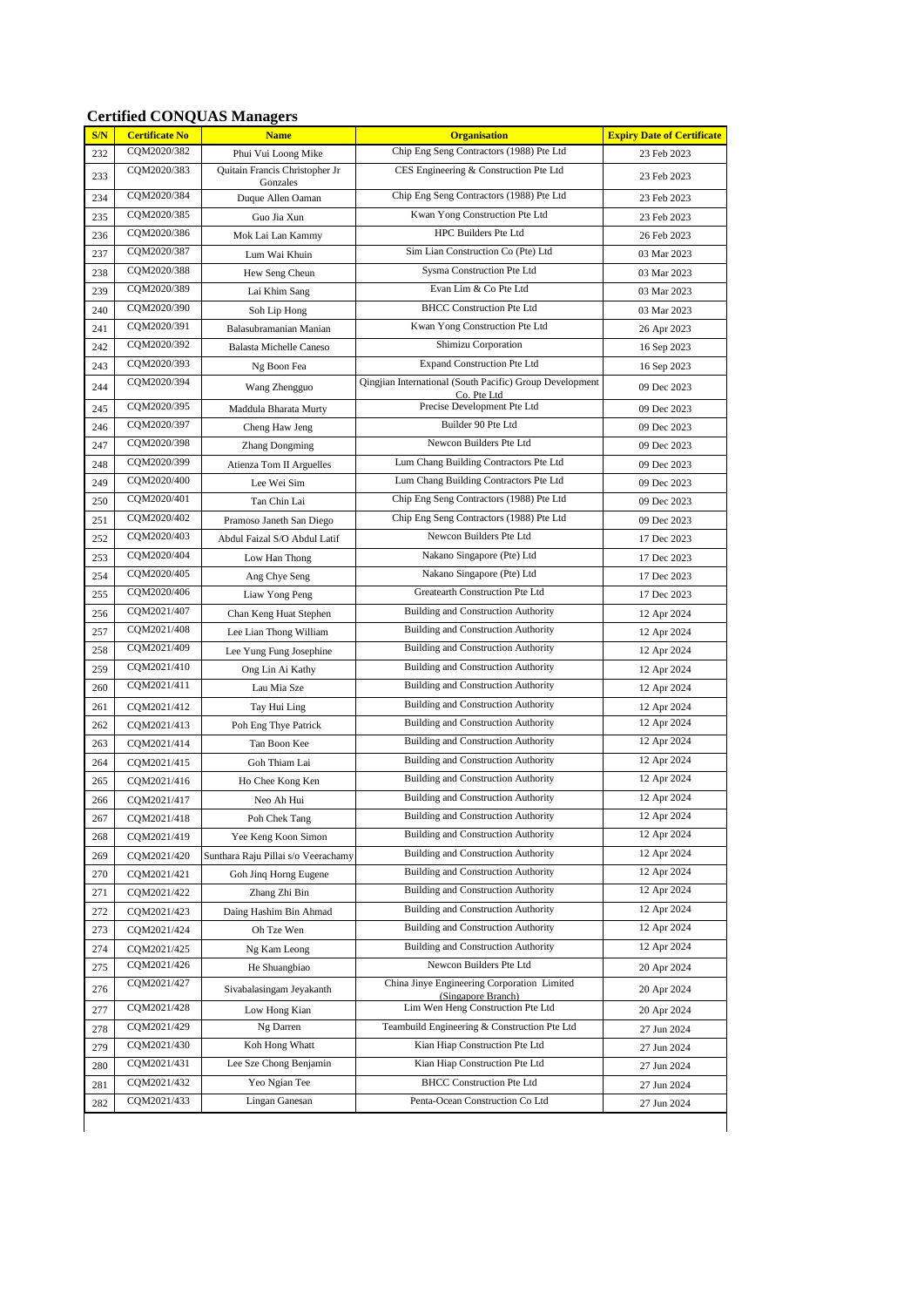| S/N | <b>Certificate No</b> | <b>Name</b>                                | <b>Organisation</b>                                                     | <b>Expiry Date of Certificate</b> |
|-----|-----------------------|--------------------------------------------|-------------------------------------------------------------------------|-----------------------------------|
| 232 | CQM2020/382           | Phui Vui Loong Mike                        | Chip Eng Seng Contractors (1988) Pte Ltd                                | 23 Feb 2023                       |
| 233 | CQM2020/383           | Quitain Francis Christopher Jr<br>Gonzales | CES Engineering & Construction Pte Ltd                                  | 23 Feb 2023                       |
| 234 | CQM2020/384           | Duque Allen Oaman                          | Chip Eng Seng Contractors (1988) Pte Ltd                                | 23 Feb 2023                       |
| 235 | CQM2020/385           | Guo Jia Xun                                | Kwan Yong Construction Pte Ltd                                          | 23 Feb 2023                       |
| 236 | COM2020/386           | Mok Lai Lan Kammy                          | HPC Builders Pte Ltd                                                    | 26 Feb 2023                       |
| 237 | CQM2020/387           | Lum Wai Khuin                              | Sim Lian Construction Co (Pte) Ltd                                      | 03 Mar 2023                       |
| 238 | CQM2020/388           | Hew Seng Cheun                             | Sysma Construction Pte Ltd                                              | 03 Mar 2023                       |
| 239 | CQM2020/389           | Lai Khim Sang                              | Evan Lim & Co Pte Ltd                                                   | 03 Mar 2023                       |
| 240 | CQM2020/390           | Soh Lip Hong                               | <b>BHCC Construction Pte Ltd</b>                                        | 03 Mar 2023                       |
| 241 | CQM2020/391           | Balasubramanian Manian                     | Kwan Yong Construction Pte Ltd                                          | 26 Apr 2023                       |
| 242 | COM2020/392           | <b>Balasta Michelle Caneso</b>             | Shimizu Corporation                                                     | 16 Sep 2023                       |
| 243 | CQM2020/393           | Ng Boon Fea                                | <b>Expand Construction Pte Ltd</b>                                      | 16 Sep 2023                       |
| 244 | CQM2020/394           | Wang Zhengguo                              | Qingjian International (South Pacific) Group Development<br>Co. Pte Ltd | 09 Dec 2023                       |
| 245 | CQM2020/395           | Maddula Bharata Murty                      | Precise Development Pte Ltd                                             | 09 Dec 2023                       |
| 246 | CQM2020/397           | Cheng Haw Jeng                             | Builder 90 Pte Ltd                                                      | 09 Dec 2023                       |
| 247 | CQM2020/398           | <b>Zhang Dongming</b>                      | Newcon Builders Pte Ltd                                                 | 09 Dec 2023                       |
| 248 | CQM2020/399           | Atienza Tom II Arguelles                   | Lum Chang Building Contractors Pte Ltd                                  | 09 Dec 2023                       |
| 249 | CQM2020/400           | Lee Wei Sim                                | Lum Chang Building Contractors Pte Ltd                                  | 09 Dec 2023                       |
| 250 | CQM2020/401           | Tan Chin Lai                               | Chip Eng Seng Contractors (1988) Pte Ltd                                | 09 Dec 2023                       |
| 251 | CQM2020/402           | Pramoso Janeth San Diego                   | Chip Eng Seng Contractors (1988) Pte Ltd                                | 09 Dec 2023                       |
| 252 | CQM2020/403           | Abdul Faizal S/O Abdul Latif               | Newcon Builders Pte Ltd                                                 | 17 Dec 2023                       |
| 253 | CQM2020/404           | Low Han Thong                              | Nakano Singapore (Pte) Ltd                                              | 17 Dec 2023                       |
| 254 | CQM2020/405           | Ang Chye Seng                              | Nakano Singapore (Pte) Ltd                                              | 17 Dec 2023                       |
| 255 | CQM2020/406           | Liaw Yong Peng                             | Greatearth Construction Pte Ltd                                         | 17 Dec 2023                       |
| 256 | CQM2021/407           | Chan Keng Huat Stephen                     | <b>Building and Construction Authority</b>                              | 12 Apr 2024                       |
| 257 | CQM2021/408           | Lee Lian Thong William                     | <b>Building and Construction Authority</b>                              | 12 Apr 2024                       |
| 258 | CQM2021/409           | Lee Yung Fung Josephine                    | <b>Building and Construction Authority</b>                              | 12 Apr 2024                       |
| 259 | CQM2021/410           | Ong Lin Ai Kathy                           | <b>Building and Construction Authority</b>                              | 12 Apr 2024                       |
| 260 | CQM2021/411           | Lau Mia Sze                                | <b>Building and Construction Authority</b>                              | 12 Apr 2024                       |
| 261 | CQM2021/412           | Tay Hui Ling                               | <b>Building and Construction Authority</b>                              | 12 Apr 2024                       |
| 262 | CQM2021/413           | Poh Eng Thye Patrick                       | <b>Building and Construction Authority</b>                              | 12 Apr 2024                       |
| 263 | CQM2021/414           | Tan Boon Kee                               | <b>Building and Construction Authority</b>                              | 12 Apr 2024                       |
| 264 | CQM2021/415           | Goh Thiam Lai                              | <b>Building and Construction Authority</b>                              | 12 Apr 2024                       |
| 265 | CQM2021/416           | Ho Chee Kong Ken                           | <b>Building and Construction Authority</b>                              | 12 Apr 2024                       |
| 266 | CQM2021/417           | Neo Ah Hui                                 | <b>Building and Construction Authority</b>                              | 12 Apr 2024                       |
| 267 | CQM2021/418           | Poh Chek Tang                              | <b>Building and Construction Authority</b>                              | 12 Apr 2024                       |
| 268 | CQM2021/419           | Yee Keng Koon Simon                        | <b>Building and Construction Authority</b>                              | 12 Apr 2024                       |
| 269 | CQM2021/420           | Sunthara Raju Pillai s/o Veerachamy        | <b>Building and Construction Authority</b>                              | 12 Apr 2024                       |
| 270 | CQM2021/421           | Goh Jinq Horng Eugene                      | <b>Building and Construction Authority</b>                              | 12 Apr 2024                       |
| 271 | CQM2021/422           | Zhang Zhi Bin                              | <b>Building and Construction Authority</b>                              | 12 Apr 2024                       |
| 272 | CQM2021/423           | Daing Hashim Bin Ahmad                     | <b>Building and Construction Authority</b>                              | 12 Apr 2024                       |
| 273 | CQM2021/424           | Oh Tze Wen                                 | <b>Building and Construction Authority</b>                              | 12 Apr 2024                       |
| 274 | COM2021/425           | Ng Kam Leong                               | <b>Building and Construction Authority</b>                              | 12 Apr 2024                       |
| 275 | CQM2021/426           | He Shuangbiao                              | Newcon Builders Pte Ltd                                                 | 20 Apr 2024                       |
| 276 | CQM2021/427           | Sivabalasingam Jeyakanth                   | China Jinye Engineering Corporation Limited<br>(Singapore Branch)       | 20 Apr 2024                       |
| 277 | CQM2021/428           | Low Hong Kian                              | Lim Wen Heng Construction Pte Ltd                                       | 20 Apr 2024                       |
| 278 | CQM2021/429           | Ng Darren                                  | Teambuild Engineering & Construction Pte Ltd                            | 27 Jun 2024                       |
| 279 | CQM2021/430           | Koh Hong Whatt                             | Kian Hiap Construction Pte Ltd                                          | 27 Jun 2024                       |
| 280 | CQM2021/431           | Lee Sze Chong Benjamin                     | Kian Hiap Construction Pte Ltd                                          | 27 Jun 2024                       |
| 281 | CQM2021/432           | Yeo Ngian Tee                              | <b>BHCC</b> Construction Pte Ltd                                        | 27 Jun 2024                       |
| 282 | CQM2021/433           | Lingan Ganesan                             | Penta-Ocean Construction Co Ltd                                         | 27 Jun 2024                       |
|     |                       |                                            |                                                                         |                                   |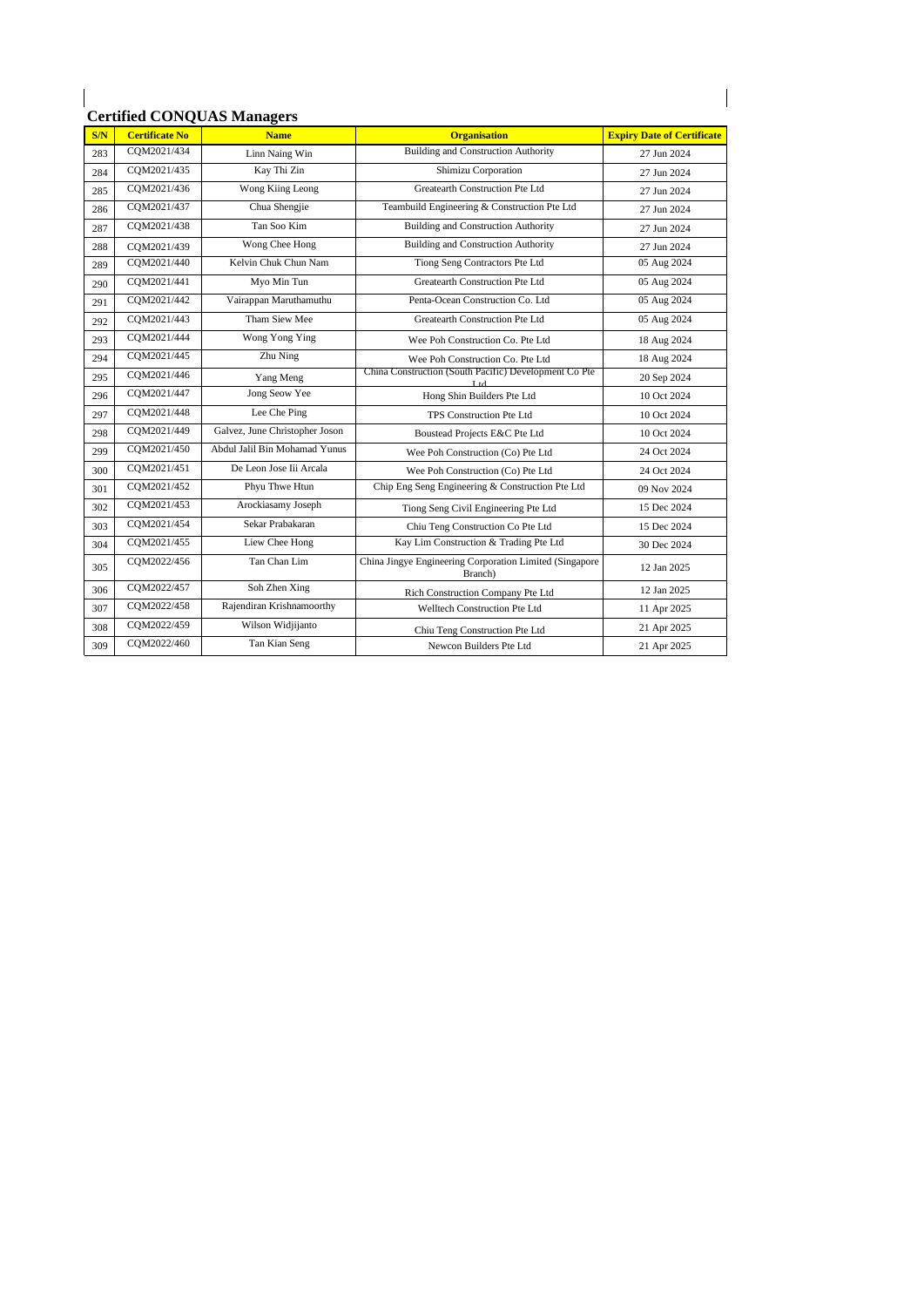| S/N | <b>Certificate No</b> | <b>Name</b>                    | <b>Organisation</b>                                                      | <b>Expiry Date of Certificate</b> |
|-----|-----------------------|--------------------------------|--------------------------------------------------------------------------|-----------------------------------|
| 283 | COM2021/434           | Linn Naing Win                 | <b>Building and Construction Authority</b>                               | 27 Jun 2024                       |
| 284 | COM2021/435           | Kay Thi Zin                    | Shimizu Corporation                                                      | 27 Jun 2024                       |
| 285 | COM2021/436           | Wong Kiing Leong               | Greatearth Construction Pte Ltd                                          | 27 Jun 2024                       |
| 286 | COM2021/437           | Chua Shengjie                  | Teambuild Engineering & Construction Pte Ltd                             | 27 Jun 2024                       |
| 287 | COM2021/438           | Tan Soo Kim                    | <b>Building</b> and Construction Authority                               | 27 Jun 2024                       |
| 288 | COM2021/439           | Wong Chee Hong                 | <b>Building and Construction Authority</b>                               | 27 Jun 2024                       |
| 289 | COM2021/440           | Kelvin Chuk Chun Nam           | Tiong Seng Contractors Pte Ltd                                           | 05 Aug 2024                       |
| 290 | COM2021/441           | Myo Min Tun                    | Greatearth Construction Pte Ltd                                          | 05 Aug 2024                       |
| 291 | COM2021/442           | Vairappan Maruthamuthu         | Penta-Ocean Construction Co. Ltd                                         | 05 Aug 2024                       |
| 292 | COM2021/443           | Tham Siew Mee                  | Greatearth Construction Pte Ltd                                          | 05 Aug 2024                       |
| 293 | COM2021/444           | Wong Yong Ying                 | Wee Poh Construction Co. Pte Ltd                                         | 18 Aug 2024                       |
| 294 | COM2021/445           | Zhu Ning                       | Wee Poh Construction Co. Pte Ltd                                         | 18 Aug 2024                       |
| 295 | CQM2021/446           | Yang Meng                      | China Construction (South Pacific) Development Co Pte<br>L <sub>td</sub> | 20 Sep 2024                       |
| 296 | COM2021/447           | Jong Seow Yee                  | Hong Shin Builders Pte Ltd                                               | 10 Oct 2024                       |
| 297 | COM2021/448           | Lee Che Ping                   | TPS Construction Pte Ltd                                                 | 10 Oct 2024                       |
| 298 | COM2021/449           | Galvez, June Christopher Joson | Boustead Projects E&C Pte Ltd                                            | 10 Oct 2024                       |
| 299 | COM2021/450           | Abdul Jalil Bin Mohamad Yunus  | Wee Poh Construction (Co) Pte Ltd                                        | 24 Oct 2024                       |
| 300 | COM2021/451           | De Leon Jose Iii Arcala        | Wee Poh Construction (Co) Pte Ltd                                        | 24 Oct 2024                       |
| 301 | COM2021/452           | Phyu Thwe Htun                 | Chip Eng Seng Engineering & Construction Pte Ltd                         | 09 Nov 2024                       |
| 302 | CQM2021/453           | Arockiasamy Joseph             | Tiong Seng Civil Engineering Pte Ltd                                     | 15 Dec 2024                       |
| 303 | COM2021/454           | Sekar Prabakaran               | Chiu Teng Construction Co Pte Ltd                                        | 15 Dec 2024                       |
| 304 | COM2021/455           | Liew Chee Hong                 | Kay Lim Construction & Trading Pte Ltd                                   | 30 Dec 2024                       |
| 305 | CQM2022/456           | Tan Chan Lim                   | China Jingye Engineering Corporation Limited (Singapore<br>Branch)       | 12 Jan 2025                       |
| 306 | COM2022/457           | Soh Zhen Xing                  | Rich Construction Company Pte Ltd                                        | 12 Jan 2025                       |
| 307 | COM2022/458           | Rajendiran Krishnamoorthy      | Welltech Construction Pte Ltd                                            | 11 Apr 2025                       |
| 308 | COM2022/459           | Wilson Widjijanto              | Chiu Teng Construction Pte Ltd                                           | 21 Apr 2025                       |
| 309 | COM2022/460           | Tan Kian Seng                  | Newcon Builders Pte Ltd                                                  | 21 Apr 2025                       |

 $\begin{array}{c} \hline \end{array}$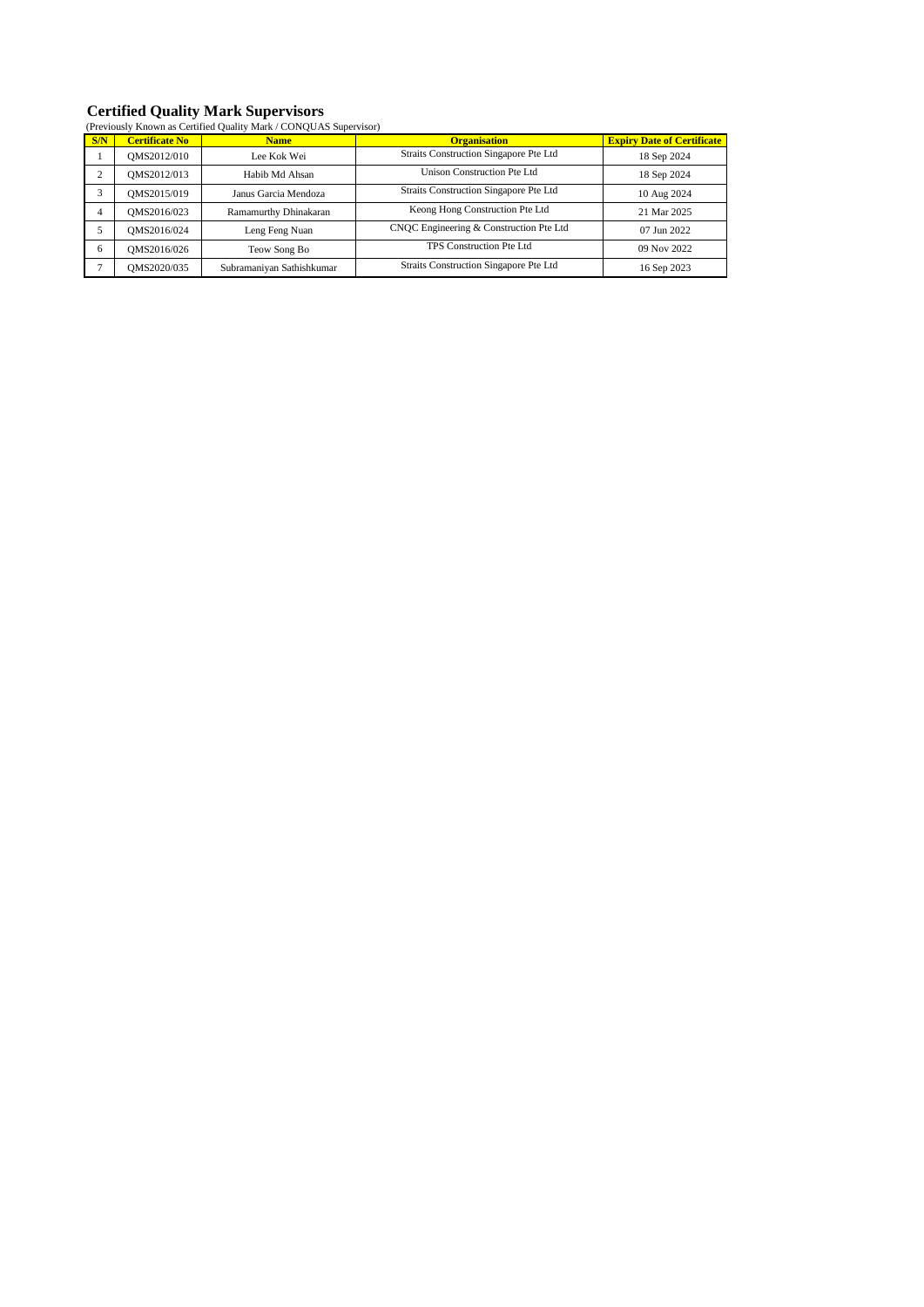# **Certified Quality Mark Supervisors**

|           | (Previously Known as Certified Quality Mark / CONQUAS Supervisor) |                           |                                         |                                   |  |  |
|-----------|-------------------------------------------------------------------|---------------------------|-----------------------------------------|-----------------------------------|--|--|
| S/N       | <b>Certificate No</b>                                             | <b>Name</b>               | <b>Organisation</b>                     | <b>Expiry Date of Certificate</b> |  |  |
|           | OMS2012/010                                                       | Lee Kok Wei               | Straits Construction Singapore Pte Ltd  | 18 Sep 2024                       |  |  |
| $\bigcap$ | OMS2012/013                                                       | Habib Md Ahsan            | Unison Construction Pte Ltd             | 18 Sep 2024                       |  |  |
| 3         | OMS2015/019                                                       | Janus Garcia Mendoza      | Straits Construction Singapore Pte Ltd  | 10 Aug 2024                       |  |  |
| 4         | OMS2016/023                                                       | Ramamurthy Dhinakaran     | Keong Hong Construction Pte Ltd         | 21 Mar 2025                       |  |  |
|           | OMS2016/024                                                       | Leng Feng Nuan            | CNOC Engineering & Construction Pte Ltd | 07 Jun 2022                       |  |  |
| 6         | OMS2016/026                                                       | Teow Song Bo              | TPS Construction Pte Ltd                | 09 Nov 2022                       |  |  |
| ÷         | OMS2020/035                                                       | Subramaniyan Sathishkumar | Straits Construction Singapore Pte Ltd  | 16 Sep 2023                       |  |  |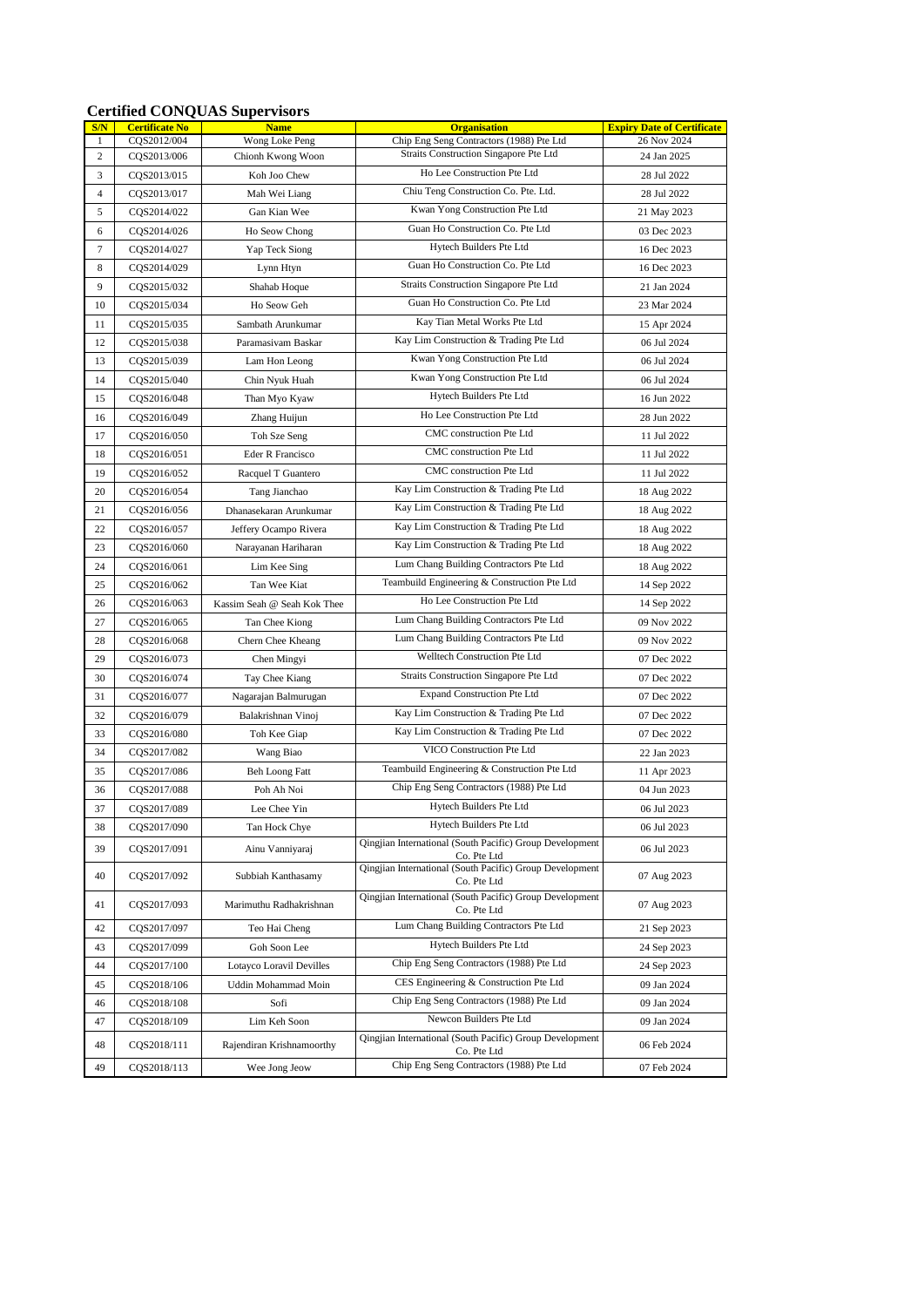#### **Certified CONQUAS Supervisors**

| S/N            | <b>Certificate No</b> | <b>Name</b>                 | <b>Organisation</b>                                                     | <b>Expiry Date of Certificate</b> |
|----------------|-----------------------|-----------------------------|-------------------------------------------------------------------------|-----------------------------------|
| $\mathbf{1}$   | CQS2012/004           | Wong Loke Peng              | Chip Eng Seng Contractors (1988) Pte Ltd                                | 26 Nov 2024                       |
| 2              | CQS2013/006           | Chionh Kwong Woon           | Straits Construction Singapore Pte Ltd<br>Ho Lee Construction Pte Ltd   | 24 Jan 2025                       |
| 3              | CQS2013/015           | Koh Joo Chew                | Chiu Teng Construction Co. Pte. Ltd.                                    | 28 Jul 2022                       |
| $\overline{4}$ | CQS2013/017           | Mah Wei Liang               |                                                                         | 28 Jul 2022                       |
| 5              | CQS2014/022           | Gan Kian Wee                | Kwan Yong Construction Pte Ltd<br>Guan Ho Construction Co. Pte Ltd      | 21 May 2023                       |
| 6              | CQS2014/026           | Ho Seow Chong               |                                                                         | 03 Dec 2023                       |
| $\tau$         | CQS2014/027           | Yap Teck Siong              | Hytech Builders Pte Ltd                                                 | 16 Dec 2023                       |
| 8              | CQS2014/029           | Lynn Htyn                   | Guan Ho Construction Co. Pte Ltd                                        | 16 Dec 2023                       |
| 9              | CQS2015/032           | Shahab Hoque                | Straits Construction Singapore Pte Ltd                                  | 21 Jan 2024                       |
| 10             | CQS2015/034           | Ho Seow Geh                 | Guan Ho Construction Co. Pte Ltd                                        | 23 Mar 2024                       |
| 11             | CQS2015/035           | Sambath Arunkumar           | Kay Tian Metal Works Pte Ltd                                            | 15 Apr 2024                       |
| 12             | CQS2015/038           | Paramasiyam Baskar          | Kay Lim Construction & Trading Pte Ltd                                  | 06 Jul 2024                       |
| 13             | CQS2015/039           | Lam Hon Leong               | Kwan Yong Construction Pte Ltd                                          | 06 Jul 2024                       |
| 14             | CQS2015/040           | Chin Nyuk Huah              | Kwan Yong Construction Pte Ltd                                          | 06 Jul 2024                       |
| 15             | CQS2016/048           | Than Myo Kyaw               | Hytech Builders Pte Ltd                                                 | 16 Jun 2022                       |
| 16             | CQS2016/049           | Zhang Huijun                | Ho Lee Construction Pte Ltd                                             | 28 Jun 2022                       |
| 17             | CQS2016/050           | Toh Sze Seng                | CMC construction Pte Ltd                                                | 11 Jul 2022                       |
| 18             | CQS2016/051           | Eder R Francisco            | CMC construction Pte Ltd                                                | 11 Jul 2022                       |
| 19             | CQS2016/052           | Racquel T Guantero          | CMC construction Pte Ltd                                                | 11 Jul 2022                       |
| 20             | CQS2016/054           | Tang Jianchao               | Kay Lim Construction & Trading Pte Ltd                                  | 18 Aug 2022                       |
| 21             | CQS2016/056           | Dhanasekaran Arunkumar      | Kay Lim Construction & Trading Pte Ltd                                  | 18 Aug 2022                       |
| 22             | CQS2016/057           | Jeffery Ocampo Rivera       | Kay Lim Construction & Trading Pte Ltd                                  | 18 Aug 2022                       |
| 23             | CQS2016/060           | Narayanan Hariharan         | Kay Lim Construction & Trading Pte Ltd                                  | 18 Aug 2022                       |
| 24             | CQS2016/061           | Lim Kee Sing                | Lum Chang Building Contractors Pte Ltd                                  | 18 Aug 2022                       |
| 25             | CQS2016/062           | Tan Wee Kiat                | Teambuild Engineering & Construction Pte Ltd                            | 14 Sep 2022                       |
| 26             | CQS2016/063           | Kassim Seah @ Seah Kok Thee | Ho Lee Construction Pte Ltd                                             | 14 Sep 2022                       |
| 27             | CQS2016/065           | Tan Chee Kiong              | Lum Chang Building Contractors Pte Ltd                                  | 09 Nov 2022                       |
| 28             | CQS2016/068           | Chern Chee Kheang           | Lum Chang Building Contractors Pte Ltd                                  | 09 Nov 2022                       |
| 29             | CQS2016/073           | Chen Mingyi                 | Welltech Construction Pte Ltd                                           | 07 Dec 2022                       |
| 30             | CQS2016/074           | Tay Chee Kiang              | Straits Construction Singapore Pte Ltd                                  | 07 Dec 2022                       |
| 31             | CQS2016/077           | Nagarajan Balmurugan        | <b>Expand Construction Pte Ltd</b>                                      | 07 Dec 2022                       |
| 32             | CQS2016/079           | Balakrishnan Vinoj          | Kay Lim Construction & Trading Pte Ltd                                  | 07 Dec 2022                       |
| 33             | CQS2016/080           | Toh Kee Giap                | Kay Lim Construction & Trading Pte Ltd                                  | 07 Dec 2022                       |
| 34             | CQS2017/082           | Wang Biao                   | VICO Construction Pte Ltd                                               | 22 Jan 2023                       |
| 35             | CQS2017/086           | <b>Beh Loong Fatt</b>       | Teambuild Engineering & Construction Pte Ltd                            | 11 Apr 2023                       |
| 36             | CQS2017/088           | Poh Ah Noi                  | Chip Eng Seng Contractors (1988) Pte Ltd                                | 04 Jun 2023                       |
| 37             | CQS2017/089           | Lee Chee Yin                | Hytech Builders Pte Ltd                                                 | 06 Jul 2023                       |
| 38             | CQS2017/090           | Tan Hock Chye               | Hytech Builders Pte Ltd                                                 | 06 Jul 2023                       |
| 39             | CQS2017/091           | Ainu Vanniyaraj             | Qingjian International (South Pacific) Group Development<br>Co. Pte Ltd | 06 Jul 2023                       |
| 40             | CQS2017/092           | Subbiah Kanthasamy          | Oingjian International (South Pacific) Group Development<br>Co. Pte Ltd | 07 Aug 2023                       |
| 41             | COS2017/093           | Marimuthu Radhakrishnan     | Qingjian International (South Pacific) Group Development<br>Co. Pte Ltd | 07 Aug 2023                       |
| 42             | CQS2017/097           | Teo Hai Cheng               | Lum Chang Building Contractors Pte Ltd                                  | 21 Sep 2023                       |
| 43             | CQS2017/099           | Goh Soon Lee                | Hytech Builders Pte Ltd                                                 | 24 Sep 2023                       |
| 44             | CQS2017/100           | Lotayco Loravil Devilles    | Chip Eng Seng Contractors (1988) Pte Ltd                                | 24 Sep 2023                       |
| 45             | CQS2018/106           | Uddin Mohammad Moin         | CES Engineering & Construction Pte Ltd                                  | 09 Jan 2024                       |
| 46             | CQS2018/108           | Sofi                        | Chip Eng Seng Contractors (1988) Pte Ltd                                | 09 Jan 2024                       |
| 47             | CQS2018/109           | Lim Keh Soon                | Newcon Builders Pte Ltd                                                 | 09 Jan 2024                       |
| 48             | CQS2018/111           | Rajendiran Krishnamoorthy   | Qingjian International (South Pacific) Group Development<br>Co. Pte Ltd | 06 Feb 2024                       |
| 49             | CQS2018/113           | Wee Jong Jeow               | Chip Eng Seng Contractors (1988) Pte Ltd                                | 07 Feb 2024                       |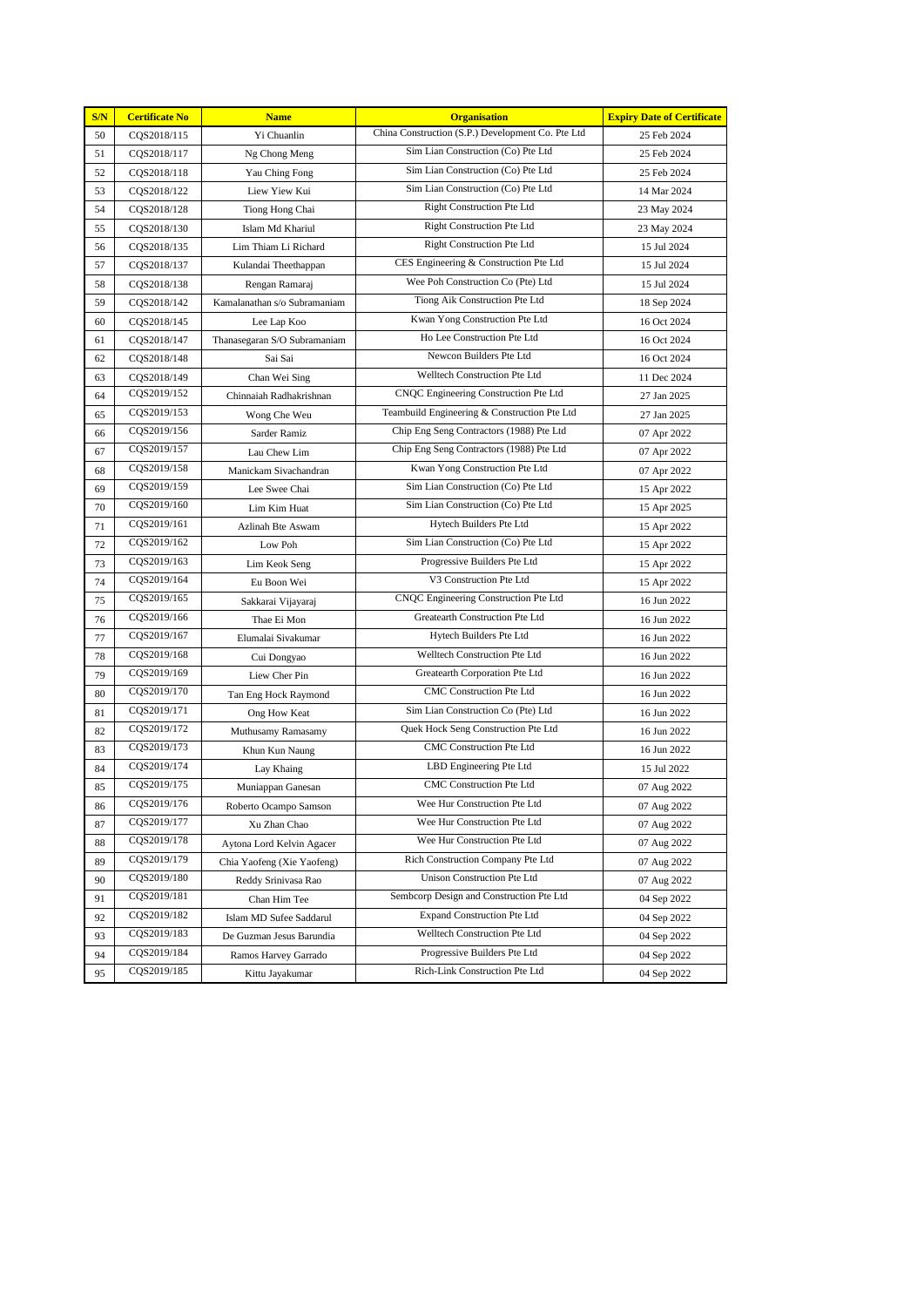| S/N | <b>Certificate No</b> | <b>Name</b>                  | <b>Organisation</b>                               | <b>Expiry Date of Certificate</b> |
|-----|-----------------------|------------------------------|---------------------------------------------------|-----------------------------------|
| 50  | CQS2018/115           | Yi Chuanlin                  | China Construction (S.P.) Development Co. Pte Ltd | 25 Feb 2024                       |
| 51  | CQS2018/117           | Ng Chong Meng                | Sim Lian Construction (Co) Pte Ltd                | 25 Feb 2024                       |
| 52  | CQS2018/118           | Yau Ching Fong               | Sim Lian Construction (Co) Pte Ltd                | 25 Feb 2024                       |
| 53  | CQS2018/122           | Liew Yiew Kui                | Sim Lian Construction (Co) Pte Ltd                | 14 Mar 2024                       |
| 54  | CQS2018/128           | Tiong Hong Chai              | <b>Right Construction Pte Ltd</b>                 | 23 May 2024                       |
| 55  | CQS2018/130           | Islam Md Khariul             | <b>Right Construction Pte Ltd</b>                 | 23 May 2024                       |
| 56  | CQS2018/135           | Lim Thiam Li Richard         | <b>Right Construction Pte Ltd</b>                 | 15 Jul 2024                       |
| 57  | CQS2018/137           | Kulandai Theethappan         | CES Engineering & Construction Pte Ltd            | 15 Jul 2024                       |
| 58  | CQS2018/138           | Rengan Ramaraj               | Wee Poh Construction Co (Pte) Ltd                 | 15 Jul 2024                       |
| 59  | CQS2018/142           | Kamalanathan s/o Subramaniam | Tiong Aik Construction Pte Ltd                    | 18 Sep 2024                       |
| 60  | CQS2018/145           | Lee Lap Koo                  | Kwan Yong Construction Pte Ltd                    | 16 Oct 2024                       |
| 61  | CQS2018/147           | Thanasegaran S/O Subramaniam | Ho Lee Construction Pte Ltd                       | 16 Oct 2024                       |
| 62  | CQS2018/148           | Sai Sai                      | Newcon Builders Pte Ltd                           | 16 Oct 2024                       |
| 63  | CQS2018/149           | Chan Wei Sing                | Welltech Construction Pte Ltd                     | 11 Dec 2024                       |
| 64  | CQS2019/152           | Chinnaiah Radhakrishnan      | CNQC Engineering Construction Pte Ltd             | 27 Jan 2025                       |
| 65  | CQS2019/153           | Wong Che Weu                 | Teambuild Engineering & Construction Pte Ltd      | 27 Jan 2025                       |
| 66  | CQS2019/156           | Sarder Ramiz                 | Chip Eng Seng Contractors (1988) Pte Ltd          | 07 Apr 2022                       |
| 67  | CQS2019/157           | Lau Chew Lim                 | Chip Eng Seng Contractors (1988) Pte Ltd          | 07 Apr 2022                       |
| 68  | CQS2019/158           | Manickam Sivachandran        | Kwan Yong Construction Pte Ltd                    | 07 Apr 2022                       |
| 69  | CQS2019/159           | Lee Swee Chai                | Sim Lian Construction (Co) Pte Ltd                | 15 Apr 2022                       |
| 70  | CQS2019/160           | Lim Kim Huat                 | Sim Lian Construction (Co) Pte Ltd                | 15 Apr 2025                       |
| 71  | CQS2019/161           | Azlinah Bte Aswam            | Hytech Builders Pte Ltd                           | 15 Apr 2022                       |
| 72  | CQS2019/162           | Low Poh                      | Sim Lian Construction (Co) Pte Ltd                | 15 Apr 2022                       |
| 73  | CQS2019/163           | Lim Keok Seng                | Progressive Builders Pte Ltd                      | 15 Apr 2022                       |
| 74  | CQS2019/164           | Eu Boon Wei                  | V3 Construction Pte Ltd                           | 15 Apr 2022                       |
| 75  | CQS2019/165           | Sakkarai Vijayaraj           | CNQC Engineering Construction Pte Ltd             | 16 Jun 2022                       |
| 76  | CQS2019/166           | Thae Ei Mon                  | Greatearth Construction Pte Ltd                   | 16 Jun 2022                       |
| 77  | CQS2019/167           | Elumalai Sivakumar           | Hytech Builders Pte Ltd                           | 16 Jun 2022                       |
| 78  | CQS2019/168           | Cui Dongyao                  | Welltech Construction Pte Ltd                     | 16 Jun 2022                       |
| 79  | CQS2019/169           | Liew Cher Pin                | Greatearth Corporation Pte Ltd                    | 16 Jun 2022                       |
| 80  | CQS2019/170           | Tan Eng Hock Raymond         | CMC Construction Pte Ltd                          | 16 Jun 2022                       |
| 81  | CQS2019/171           | Ong How Keat                 | Sim Lian Construction Co (Pte) Ltd                | 16 Jun 2022                       |
| 82  | CQS2019/172           | Muthusamy Ramasamy           | Quek Hock Seng Construction Pte Ltd               | 16 Jun 2022                       |
| 83  | CQS2019/173           | Khun Kun Naung               | <b>CMC</b> Construction Pte Ltd                   | 16 Jun 2022                       |
| 84  | CQS2019/174           | Lay Khaing                   | LBD Engineering Pte Ltd                           | 15 Jul 2022                       |
| 85  | CQS2019/175           | Muniappan Ganesan            | <b>CMC</b> Construction Pte Ltd                   | 07 Aug 2022                       |
| 86  | CQS2019/176           | Roberto Ocampo Samson        | Wee Hur Construction Pte Ltd                      | 07 Aug 2022                       |
| 87  | CQS2019/177           | Xu Zhan Chao                 | Wee Hur Construction Pte Ltd                      | 07 Aug 2022                       |
| 88  | CQS2019/178           | Aytona Lord Kelvin Agacer    | Wee Hur Construction Pte Ltd                      | 07 Aug 2022                       |
| 89  | CQS2019/179           | Chia Yaofeng (Xie Yaofeng)   | Rich Construction Company Pte Ltd                 | 07 Aug 2022                       |
| 90  | CQS2019/180           | Reddy Srinivasa Rao          | Unison Construction Pte Ltd                       | 07 Aug 2022                       |
| 91  | CQS2019/181           | Chan Him Tee                 | Sembcorp Design and Construction Pte Ltd          | 04 Sep 2022                       |
| 92  | CQS2019/182           | Islam MD Sufee Saddarul      | <b>Expand Construction Pte Ltd</b>                | 04 Sep 2022                       |
| 93  | CQS2019/183           | De Guzman Jesus Barundia     | Welltech Construction Pte Ltd                     | 04 Sep 2022                       |
| 94  | CQS2019/184           | Ramos Harvey Garrado         | Progressive Builders Pte Ltd                      | 04 Sep 2022                       |
| 95  | CQS2019/185           | Kittu Jayakumar              | Rich-Link Construction Pte Ltd                    | 04 Sep 2022                       |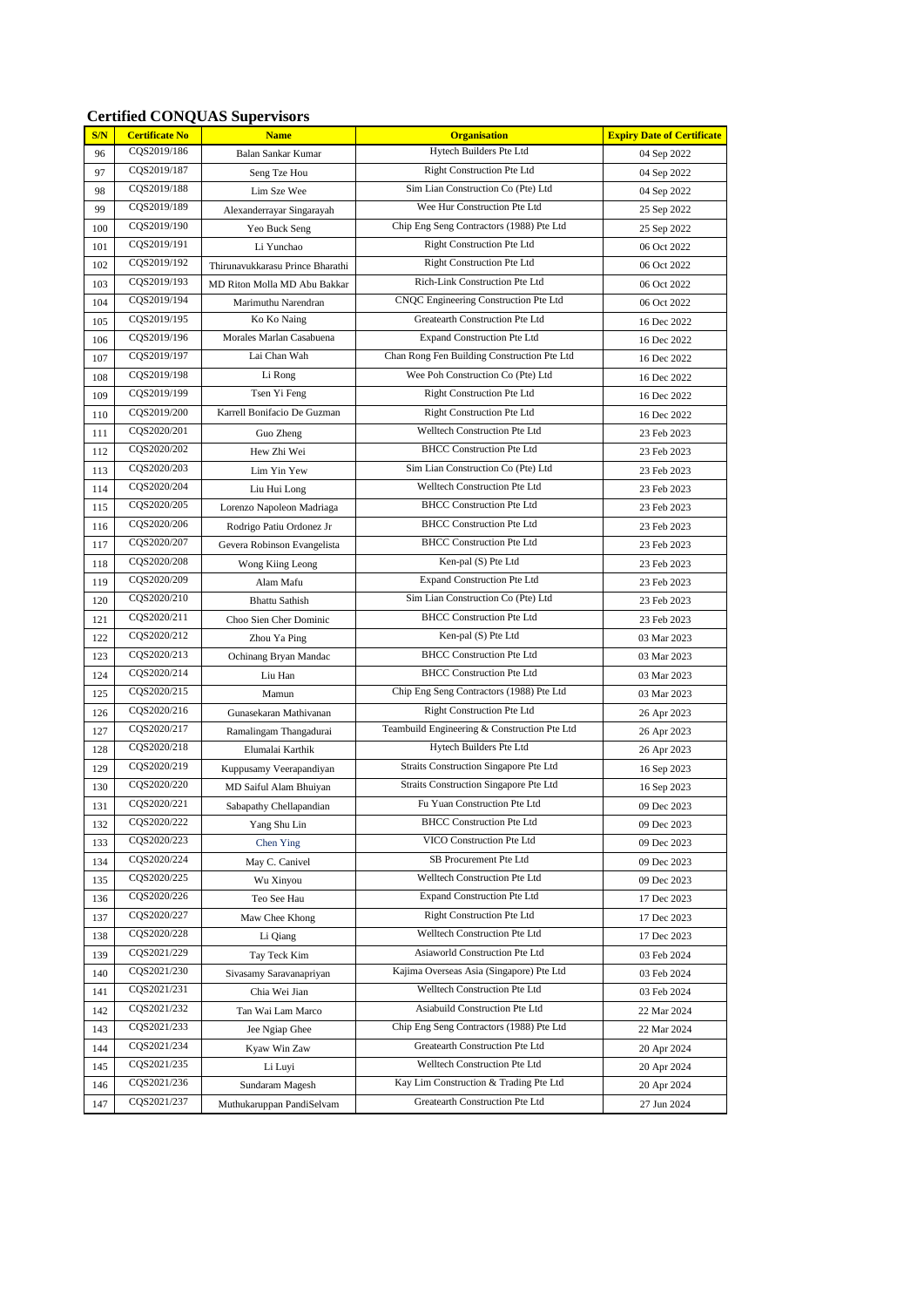#### **Certified CONQUAS Supervisors**

| S/N | <b>Certificate No</b>      | <b>Name</b>                      | <b>Organisation</b>                                                     | <b>Expiry Date of Certificate</b> |
|-----|----------------------------|----------------------------------|-------------------------------------------------------------------------|-----------------------------------|
| 96  | CQS2019/186                | Balan Sankar Kumar               | Hytech Builders Pte Ltd                                                 | 04 Sep 2022                       |
| 97  | CQS2019/187                | Seng Tze Hou                     | <b>Right Construction Pte Ltd</b>                                       | 04 Sep 2022                       |
| 98  | CQS2019/188                | Lim Sze Wee                      | Sim Lian Construction Co (Pte) Ltd                                      | 04 Sep 2022                       |
| 99  | CQS2019/189                | Alexanderrayar Singarayah        | Wee Hur Construction Pte Ltd                                            | 25 Sep 2022                       |
| 100 | CQS2019/190                | Yeo Buck Seng                    | Chip Eng Seng Contractors (1988) Pte Ltd                                | 25 Sep 2022                       |
| 101 | CQS2019/191                | Li Yunchao                       | <b>Right Construction Pte Ltd</b>                                       | 06 Oct 2022                       |
| 102 | CQS2019/192                | Thirunavukkarasu Prince Bharathi | <b>Right Construction Pte Ltd</b>                                       | 06 Oct 2022                       |
| 103 | CQS2019/193                | MD Riton Molla MD Abu Bakkar     | Rich-Link Construction Pte Ltd                                          | 06 Oct 2022                       |
| 104 | CQS2019/194                | Marimuthu Narendran              | CNQC Engineering Construction Pte Ltd                                   | 06 Oct 2022                       |
| 105 | CQS2019/195                | Ko Ko Naing                      | Greatearth Construction Pte Ltd                                         | 16 Dec 2022                       |
| 106 | CQS2019/196                | Morales Marlan Casabuena         | <b>Expand Construction Pte Ltd</b>                                      | 16 Dec 2022                       |
| 107 | CQS2019/197                | Lai Chan Wah                     | Chan Rong Fen Building Construction Pte Ltd                             | 16 Dec 2022                       |
| 108 | CQS2019/198                | Li Rong                          | Wee Poh Construction Co (Pte) Ltd                                       | 16 Dec 2022                       |
| 109 | CQS2019/199                | Tsen Yi Feng                     | <b>Right Construction Pte Ltd</b>                                       | 16 Dec 2022                       |
| 110 | CQS2019/200                | Karrell Bonifacio De Guzman      | <b>Right Construction Pte Ltd</b>                                       | 16 Dec 2022                       |
| 111 | CQS2020/201                | Guo Zheng                        | Welltech Construction Pte Ltd                                           | 23 Feb 2023                       |
| 112 | CQS2020/202                | Hew Zhi Wei                      | <b>BHCC Construction Pte Ltd</b>                                        | 23 Feb 2023                       |
| 113 | CQS2020/203                | Lim Yin Yew                      | Sim Lian Construction Co (Pte) Ltd                                      | 23 Feb 2023                       |
| 114 | CQS2020/204                | Liu Hui Long                     | Welltech Construction Pte Ltd                                           | 23 Feb 2023                       |
| 115 | CQS2020/205                | Lorenzo Napoleon Madriaga        | <b>BHCC Construction Pte Ltd</b>                                        | 23 Feb 2023                       |
| 116 | CQS2020/206                | Rodrigo Patiu Ordonez Jr         | <b>BHCC Construction Pte Ltd</b>                                        | 23 Feb 2023                       |
| 117 | CQS2020/207                | Gevera Robinson Evangelista      | <b>BHCC</b> Construction Pte Ltd                                        | 23 Feb 2023                       |
| 118 | CQS2020/208                | Wong Kiing Leong                 | Ken-pal (S) Pte Ltd                                                     | 23 Feb 2023                       |
| 119 | CQS2020/209                | Alam Mafu                        | <b>Expand Construction Pte Ltd</b>                                      | 23 Feb 2023                       |
| 120 | CQS2020/210                | <b>Bhattu Sathish</b>            | Sim Lian Construction Co (Pte) Ltd                                      | 23 Feb 2023                       |
| 121 | CQS2020/211                | Choo Sien Cher Dominic           | <b>BHCC Construction Pte Ltd</b>                                        | 23 Feb 2023                       |
| 122 | CQS2020/212                | Zhou Ya Ping                     | Ken-pal (S) Pte Ltd                                                     | 03 Mar 2023                       |
| 123 | CQS2020/213                | Ochinang Bryan Mandac            | <b>BHCC Construction Pte Ltd</b>                                        | 03 Mar 2023                       |
| 124 | CQS2020/214                | Liu Han                          | <b>BHCC Construction Pte Ltd</b>                                        | 03 Mar 2023                       |
| 125 | CQS2020/215                | Mamun                            | Chip Eng Seng Contractors (1988) Pte Ltd                                | 03 Mar 2023                       |
| 126 | CQS2020/216                | Gunasekaran Mathivanan           | <b>Right Construction Pte Ltd</b>                                       | 26 Apr 2023                       |
| 127 | CQS2020/217                | Ramalingam Thangadurai           | Teambuild Engineering & Construction Pte Ltd                            | 26 Apr 2023                       |
| 128 | CQS2020/218                | Elumalai Karthik                 | Hytech Builders Pte Ltd                                                 | 26 Apr 2023                       |
| 129 | CQS2020/219                | Kuppusamy Veerapandiyan          | Straits Construction Singapore Pte Ltd                                  | 16 Sep 2023                       |
| 130 | CQS2020/220                | MD Saiful Alam Bhuiyan           | Straits Construction Singapore Pte Ltd                                  | 16 Sep 2023                       |
| 131 | CQS2020/221                | Sabapathy Chellapandian          | Fu Yuan Construction Pte Ltd                                            | 09 Dec 2023                       |
| 132 | CQS2020/222                | Yang Shu Lin                     | <b>BHCC Construction Pte Ltd</b>                                        | 09 Dec 2023                       |
| 133 | CQS2020/223                | <b>Chen Ying</b>                 | VICO Construction Pte Ltd                                               | 09 Dec 2023                       |
| 134 | CQS2020/224                | May C. Canivel                   | SB Procurement Pte Ltd                                                  | 09 Dec 2023                       |
| 135 | CQS2020/225                | Wu Xinyou                        | Welltech Construction Pte Ltd                                           | 09 Dec 2023                       |
| 136 | CQS2020/226                | Teo See Hau                      | <b>Expand Construction Pte Ltd</b>                                      | 17 Dec 2023                       |
| 137 | CQS2020/227                | Maw Chee Khong                   | <b>Right Construction Pte Ltd</b>                                       | 17 Dec 2023                       |
| 138 | CQS2020/228                | Li Qiang                         | Welltech Construction Pte Ltd                                           | 17 Dec 2023                       |
| 139 | CQS2021/229                | Tay Teck Kim                     | Asiaworld Construction Pte Ltd                                          | 03 Feb 2024                       |
| 140 | CQS2021/230                | Sivasamy Saravanapriyan          | Kajima Overseas Asia (Singapore) Pte Ltd                                | 03 Feb 2024                       |
| 141 | CQS2021/231                | Chia Wei Jian                    | Welltech Construction Pte Ltd                                           | 03 Feb 2024                       |
| 142 | CQS2021/232                | Tan Wai Lam Marco                | Asiabuild Construction Pte Ltd                                          | 22 Mar 2024                       |
| 143 | CQS2021/233                | Jee Ngiap Ghee                   | Chip Eng Seng Contractors (1988) Pte Ltd                                | 22 Mar 2024                       |
| 144 | CQS2021/234                | Kyaw Win Zaw                     | Greatearth Construction Pte Ltd                                         | 20 Apr 2024                       |
| 145 | CQS2021/235                | Li Luyi                          | Welltech Construction Pte Ltd<br>Kay Lim Construction & Trading Pte Ltd | 20 Apr 2024                       |
| 146 | CQS2021/236<br>CQS2021/237 | Sundaram Magesh                  | Greatearth Construction Pte Ltd                                         | 20 Apr 2024                       |
| 147 |                            | Muthukaruppan PandiSelvam        |                                                                         | 27 Jun 2024                       |